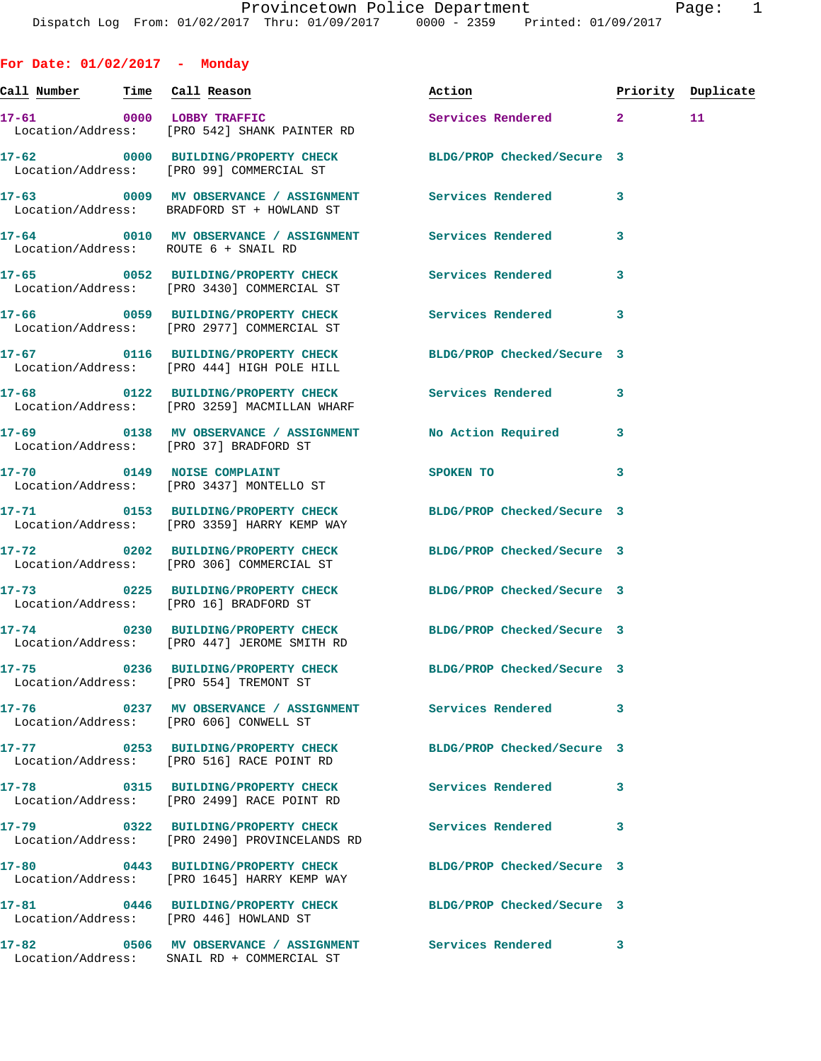**For Date: 01/02/2017 - Monday Call Number Time Call Reason Action Priority Duplicate 17-61 0000 LOBBY TRAFFIC Services Rendered 2 11**  Location/Address: [PRO 542] SHANK PAINTER RD **17-62 0000 BUILDING/PROPERTY CHECK BLDG/PROP Checked/Secure 3**  Location/Address: [PRO 99] COMMERCIAL ST **17-63 0009 MV OBSERVANCE / ASSIGNMENT Services Rendered 3**  Location/Address: BRADFORD ST + HOWLAND ST **17-64 0010 MV OBSERVANCE / ASSIGNMENT Services Rendered 3**  Location/Address: ROUTE 6 + SNAIL RD **17-65 0052 BUILDING/PROPERTY CHECK Services Rendered 3**  Location/Address: [PRO 3430] COMMERCIAL ST **17-66 0059 BUILDING/PROPERTY CHECK Services Rendered 3**  Location/Address: [PRO 2977] COMMERCIAL ST **17-67 0116 BUILDING/PROPERTY CHECK BLDG/PROP Checked/Secure 3**  Location/Address: [PRO 444] HIGH POLE HILL **17-68 0122 BUILDING/PROPERTY CHECK Services Rendered 3**  Location/Address: [PRO 3259] MACMILLAN WHARF **17-69 0138 MV OBSERVANCE / ASSIGNMENT No Action Required 3**  Location/Address: [PRO 37] BRADFORD ST **17-70 0149 NOISE COMPLAINT SPOKEN TO 3**  Location/Address: [PRO 3437] MONTELLO ST **17-71 0153 BUILDING/PROPERTY CHECK BLDG/PROP Checked/Secure 3**  Location/Address: [PRO 3359] HARRY KEMP WAY **17-72 0202 BUILDING/PROPERTY CHECK BLDG/PROP Checked/Secure 3**  Location/Address: [PRO 306] COMMERCIAL ST **17-73 0225 BUILDING/PROPERTY CHECK BLDG/PROP Checked/Secure 3**  Location/Address: [PRO 16] BRADFORD ST **17-74 0230 BUILDING/PROPERTY CHECK BLDG/PROP Checked/Secure 3**  Location/Address: [PRO 447] JEROME SMITH RD **17-75 0236 BUILDING/PROPERTY CHECK BLDG/PROP Checked/Secure 3**  Location/Address: [PRO 554] TREMONT ST **17-76 0237 MV OBSERVANCE / ASSIGNMENT Services Rendered 3**  Location/Address: [PRO 606] CONWELL ST **17-77 0253 BUILDING/PROPERTY CHECK BLDG/PROP Checked/Secure 3**  Location/Address: [PRO 516] RACE POINT RD **17-78 0315 BUILDING/PROPERTY CHECK Services Rendered 3**  Location/Address: [PRO 2499] RACE POINT RD **17-79 0322 BUILDING/PROPERTY CHECK Services Rendered 3**  Location/Address: [PRO 2490] PROVINCELANDS RD **17-80 0443 BUILDING/PROPERTY CHECK BLDG/PROP Checked/Secure 3**  Location/Address: [PRO 1645] HARRY KEMP WAY **17-81 0446 BUILDING/PROPERTY CHECK BLDG/PROP Checked/Secure 3**  Location/Address: [PRO 446] HOWLAND ST

**17-82 0506 MV OBSERVANCE / ASSIGNMENT Services Rendered 3**  Location/Address: SNAIL RD + COMMERCIAL ST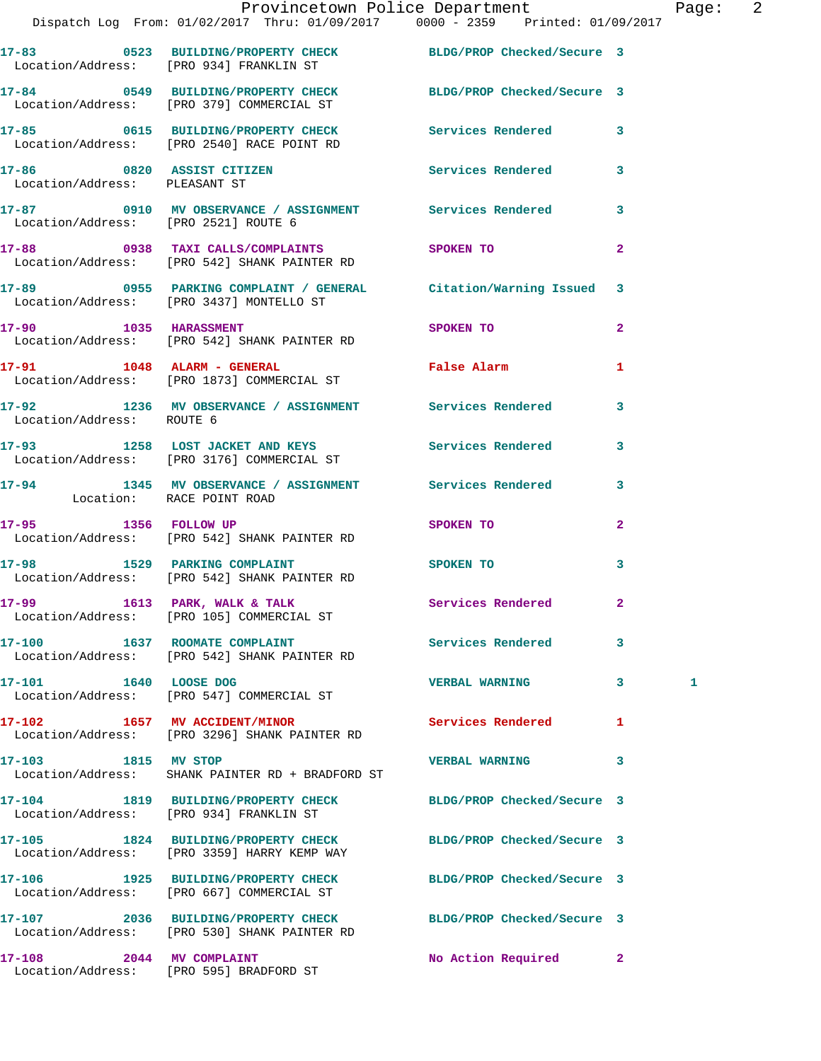|                                      | Provincetown Police Department The Page:<br>Dispatch Log From: 01/02/2017 Thru: 01/09/2017   0000 - 2359   Printed: 01/09/2017 |                            |              |   | $\overline{\phantom{a}}$ |
|--------------------------------------|--------------------------------------------------------------------------------------------------------------------------------|----------------------------|--------------|---|--------------------------|
|                                      | 17-83 0523 BUILDING/PROPERTY CHECK BLDG/PROP Checked/Secure 3<br>Location/Address: [PRO 934] FRANKLIN ST                       |                            |              |   |                          |
|                                      | 17-84 0549 BUILDING/PROPERTY CHECK BLDG/PROP Checked/Secure 3<br>Location/Address: [PRO 379] COMMERCIAL ST                     |                            |              |   |                          |
|                                      | 17-85 0615 BUILDING/PROPERTY CHECK Services Rendered 3<br>Location/Address: [PRO 2540] RACE POINT RD                           |                            |              |   |                          |
| Location/Address: PLEASANT ST        | 17-86 0820 ASSIST CITIZEN Services Rendered 3                                                                                  |                            |              |   |                          |
| Location/Address: [PRO 2521] ROUTE 6 | 17-87 0910 MV OBSERVANCE / ASSIGNMENT Services Rendered 3                                                                      |                            |              |   |                          |
|                                      | 17-88 0938 TAXI CALLS/COMPLAINTS SPOKEN TO<br>Location/Address: [PRO 542] SHANK PAINTER RD                                     |                            | $\mathbf{2}$ |   |                          |
|                                      | 17-89 0955 PARKING COMPLAINT / GENERAL Citation/Warning Issued 3<br>Location/Address: [PRO 3437] MONTELLO ST                   |                            |              |   |                          |
|                                      | 17-90 1035 HARASSMENT SPOKEN TO<br>Location/Address: [PRO 542] SHANK PAINTER RD                                                |                            | $\mathbf{2}$ |   |                          |
|                                      | 17-91 1048 ALARM - GENERAL TRANSFALS False Alarm<br>Location/Address: [PRO 1873] COMMERCIAL ST                                 |                            | 1            |   |                          |
| Location/Address: ROUTE 6            | 17-92 1236 MV OBSERVANCE / ASSIGNMENT Services Rendered 3                                                                      |                            |              |   |                          |
|                                      | 17-93 1258 LOST JACKET AND KEYS Services Rendered 3<br>Location/Address: [PRO 3176] COMMERCIAL ST                              |                            |              |   |                          |
|                                      | 17-94 1345 MV OBSERVANCE / ASSIGNMENT Services Rendered 3<br>Location: RACE POINT ROAD                                         |                            |              |   |                          |
|                                      | 17-95 1356 FOLLOW UP<br>Location/Address: [PRO 542] SHANK PAINTER RD                                                           | SPOKEN TO                  | $\mathbf{2}$ |   |                          |
|                                      | 17-98 1529 PARKING COMPLAINT<br>Location/Address: [PRO 542] SHANK PAINTER RD                                                   | SPOKEN TO                  | 3            |   |                          |
|                                      | 17-99 1613 PARK, WALK & TALK<br>Location/Address: [PRO 105] COMMERCIAL ST                                                      | Services Rendered          | $\mathbf{2}$ |   |                          |
|                                      | 17-100 1637 ROOMATE COMPLAINT<br>Location/Address: [PRO 542] SHANK PAINTER RD                                                  | <b>Services Rendered</b>   | 3            |   |                          |
|                                      | 17-101 1640 LOOSE DOG<br>Location/Address: [PRO 547] COMMERCIAL ST                                                             | <b>VERBAL WARNING</b>      | $\mathbf{3}$ | 1 |                          |
|                                      | 17-102 1657 MV ACCIDENT/MINOR<br>Location/Address: [PRO 3296] SHANK PAINTER RD                                                 | <b>Services Rendered</b> 1 |              |   |                          |
| 17-103 1815 MV STOP                  | Location/Address: SHANK PAINTER RD + BRADFORD ST                                                                               | <b>VERBAL WARNING</b>      | 3            |   |                          |
|                                      | 17-104 1819 BUILDING/PROPERTY CHECK BLDG/PROP Checked/Secure 3<br>Location/Address: [PRO 934] FRANKLIN ST                      |                            |              |   |                          |
|                                      | 17-105 1824 BUILDING/PROPERTY CHECK<br>Location/Address: [PRO 3359] HARRY KEMP WAY                                             | BLDG/PROP Checked/Secure 3 |              |   |                          |
|                                      | 17-106 1925 BUILDING/PROPERTY CHECK BLDG/PROP Checked/Secure 3<br>Location/Address: [PRO 667] COMMERCIAL ST                    |                            |              |   |                          |
|                                      | 17-107 2036 BUILDING/PROPERTY CHECK BLDG/PROP Checked/Secure 3<br>Location/Address: [PRO 530] SHANK PAINTER RD                 |                            |              |   |                          |
|                                      |                                                                                                                                |                            |              |   |                          |

**17-108 2044 MV COMPLAINT No Action Required 2** 

Location/Address: [PRO 595] BRADFORD ST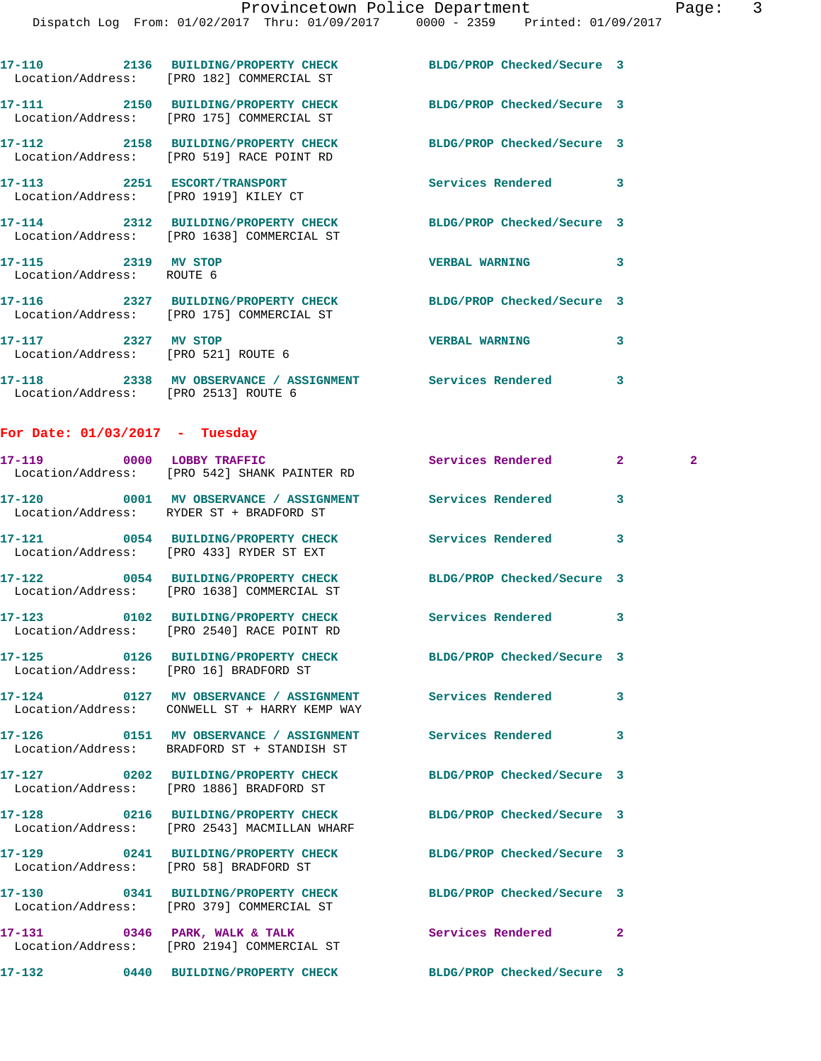|                                                            | 17-110 2136 BUILDING/PROPERTY CHECK<br>Location/Address: [PRO 182] COMMERCIAL ST                             | BLDG/PROP Checked/Secure 3 |                |              |
|------------------------------------------------------------|--------------------------------------------------------------------------------------------------------------|----------------------------|----------------|--------------|
|                                                            | 17-111 2150 BUILDING/PROPERTY CHECK BLDG/PROP Checked/Secure 3<br>Location/Address: [PRO 175] COMMERCIAL ST  |                            |                |              |
|                                                            | 17-112 2158 BUILDING/PROPERTY CHECK<br>Location/Address: [PRO 519] RACE POINT RD                             | BLDG/PROP Checked/Secure 3 |                |              |
|                                                            | 17-113 2251 ESCORT/TRANSPORT<br>Location/Address: [PRO 1919] KILEY CT                                        | Services Rendered          | 3              |              |
|                                                            | 17-114 2312 BUILDING/PROPERTY CHECK BLDG/PROP Checked/Secure 3<br>Location/Address: [PRO 1638] COMMERCIAL ST |                            |                |              |
| 17-115 2319 MV STOP<br>Location/Address: ROUTE 6           |                                                                                                              | <b>VERBAL WARNING</b>      | 3              |              |
|                                                            | 17-116 2327 BUILDING/PROPERTY CHECK BLDG/PROP Checked/Secure 3<br>Location/Address: [PRO 175] COMMERCIAL ST  |                            |                |              |
| 17-117 2327 MV STOP<br>Location/Address: [PRO 521] ROUTE 6 |                                                                                                              | <b>VERBAL WARNING</b>      | 3              |              |
| Location/Address: [PRO 2513] ROUTE 6                       | 17-118 2338 MV OBSERVANCE / ASSIGNMENT Services Rendered                                                     |                            | 3              |              |
| For Date: $01/03/2017$ - Tuesday                           |                                                                                                              |                            |                |              |
| 17-119                                                     | 0000 LOBBY TRAFFIC<br>Location/Address: [PRO 542] SHANK PAINTER RD                                           | Services Rendered          | $\mathbf{2}^-$ | $\mathbf{2}$ |
|                                                            | 17-120 0001 MV OBSERVANCE / ASSIGNMENT Services Rendered<br>Location/Address: RYDER ST + BRADFORD ST         |                            | 3              |              |
|                                                            | 17-121 0054 BUILDING/PROPERTY CHECK Services Rendered<br>Location/Address: [PRO 433] RYDER ST EXT            |                            | 3              |              |
|                                                            | 17-122 0054 BUILDING/PROPERTY CHECK BLDG/PROP Checked/Secure 3<br>Location/Address: [PRO 1638] COMMERCIAL ST |                            |                |              |
|                                                            | 17-123 0102 BUILDING/PROPERTY CHECK<br>Location/Address: [PRO 2540] RACE POINT RD                            | Services Rendered          | 3              |              |
|                                                            | 17-125 0126 BUILDING/PROPERTY CHECK<br>Location/Address: [PRO 16] BRADFORD ST                                | BLDG/PROP Checked/Secure 3 |                |              |
|                                                            | 17-124 0127 MV OBSERVANCE / ASSIGNMENT Services Rendered<br>Location/Address: CONWELL ST + HARRY KEMP WAY    |                            | 3              |              |
|                                                            | 17-126   0151 MV OBSERVANCE / ASSIGNMENT   Services Rendered<br>Location/Address: BRADFORD ST + STANDISH ST  |                            | 3              |              |
|                                                            | 17-127 0202 BUILDING/PROPERTY CHECK<br>Location/Address: [PRO 1886] BRADFORD ST                              | BLDG/PROP Checked/Secure 3 |                |              |
|                                                            | 17-128 0216 BUILDING/PROPERTY CHECK<br>Location/Address: [PRO 2543] MACMILLAN WHARF                          | BLDG/PROP Checked/Secure 3 |                |              |
| Location/Address: [PRO 58] BRADFORD ST                     | 17-129 0241 BUILDING/PROPERTY CHECK                                                                          | BLDG/PROP Checked/Secure 3 |                |              |
|                                                            | 17-130 0341 BUILDING/PROPERTY CHECK BLDG/PROP Checked/Secure 3<br>Location/Address: [PRO 379] COMMERCIAL ST  |                            |                |              |
|                                                            | 17-131 0346 PARK, WALK & TALK<br>Location/Address: [PRO 2194] COMMERCIAL ST                                  | Services Rendered          | $\overline{2}$ |              |
|                                                            | 17-132 0440 BUILDING/PROPERTY CHECK                                                                          | BLDG/PROP Checked/Secure 3 |                |              |
|                                                            |                                                                                                              |                            |                |              |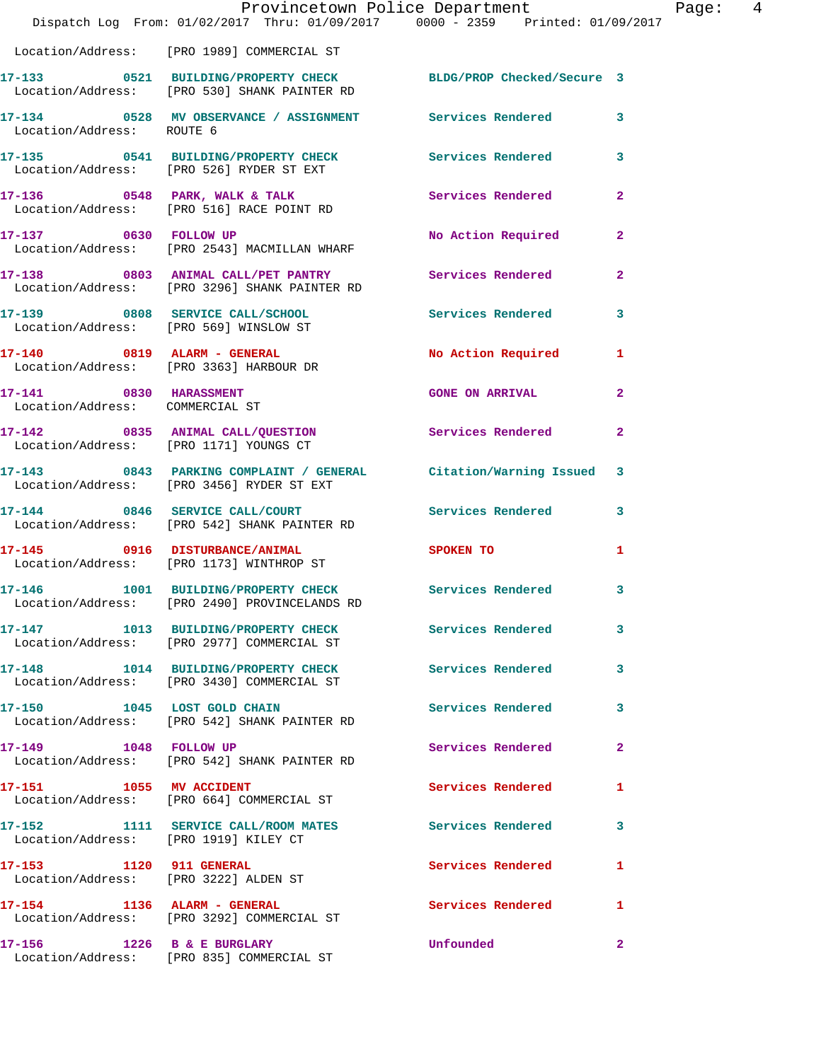|                                       | Dispatch Log From: 01/02/2017 Thru: 01/09/2017 0000 - 2359 Printed: 01/09/2017                                 | Provincetown Police Department    | Page: 4      |
|---------------------------------------|----------------------------------------------------------------------------------------------------------------|-----------------------------------|--------------|
|                                       | Location/Address: [PRO 1989] COMMERCIAL ST                                                                     |                                   |              |
|                                       | 17-133 0521 BUILDING/PROPERTY CHECK BLDG/PROP Checked/Secure 3<br>Location/Address: [PRO 530] SHANK PAINTER RD |                                   |              |
| Location/Address: ROUTE 6             | 17-134 0528 MV OBSERVANCE / ASSIGNMENT Services Rendered 3                                                     |                                   |              |
|                                       | 17-135 0541 BUILDING/PROPERTY CHECK Services Rendered 3<br>Location/Address: [PRO 526] RYDER ST EXT            |                                   |              |
|                                       |                                                                                                                |                                   |              |
|                                       | 17-137 0630 FOLLOW UP<br>Location/Address: [PRO 2543] MACMILLAN WHARF                                          | No Action Required 2              |              |
|                                       | 17-138 0803 ANIMAL CALL/PET PANTRY Services Rendered<br>Location/Address: [PRO 3296] SHANK PAINTER RD          |                                   | $\mathbf{2}$ |
|                                       | 17-139 0808 SERVICE CALL/SCHOOL 5 Services Rendered 3<br>Location/Address: [PRO 569] WINSLOW ST                |                                   |              |
|                                       | 17-140 0819 ALARM - GENERAL<br>Location/Address: [PRO 3363] HARBOUR DR                                         | No Action Required 1              |              |
| Location/Address: COMMERCIAL ST       | 17-141 0830 HARASSMENT                                                                                         | <b>GONE ON ARRIVAL</b>            | $\mathbf{2}$ |
|                                       | 17-142 0835 ANIMAL CALL/QUESTION Services Rendered 2<br>Location/Address: [PRO 1171] YOUNGS CT                 |                                   |              |
|                                       | 17-143 0843 PARKING COMPLAINT / GENERAL Citation/Warning Issued 3<br>Location/Address: [PRO 3456] RYDER ST EXT |                                   |              |
|                                       | 17-144 0846 SERVICE CALL/COURT Services Rendered 3<br>Location/Address: [PRO 542] SHANK PAINTER RD             |                                   |              |
|                                       | 17-145 0916 DISTURBANCE/ANIMAL<br>Location/Address: [PRO 1173] WINTHROP ST                                     | SPOKEN TO AND TO A REAL PROPERTY. | 1            |
|                                       | 17-146 1001 BUILDING/PROPERTY CHECK Services Rendered 3<br>Location/Address: [PRO 2490] PROVINCELANDS RD       |                                   |              |
|                                       | 17-147 1013 BUILDING/PROPERTY CHECK Services Rendered<br>Location/Address: [PRO 2977] COMMERCIAL ST            |                                   | $\mathbf{3}$ |
|                                       | 17-148 1014 BUILDING/PROPERTY CHECK Services Rendered<br>Location/Address: [PRO 3430] COMMERCIAL ST            |                                   | $\mathbf{3}$ |
|                                       | 17-150 1045 LOST GOLD CHAIN<br>Location/Address: [PRO 542] SHANK PAINTER RD                                    | <b>Services Rendered</b>          | 3            |
| 17-149    1048    FOLLOW UP           | Location/Address: [PRO 542] SHANK PAINTER RD                                                                   | Services Rendered                 | $\mathbf{2}$ |
|                                       | 17-151 1055 MV ACCIDENT<br>Location/Address: [PRO 664] COMMERCIAL ST                                           | Services Rendered                 | 1            |
| Location/Address: [PRO 1919] KILEY CT | 17-152 1111 SERVICE CALL/ROOM MATES Services Rendered 3                                                        |                                   |              |
|                                       | 17-153 1120 911 GENERAL<br>Location/Address: [PRO 3222] ALDEN ST                                               | Services Rendered                 | $\mathbf{1}$ |
| 17-154 1136 ALARM - GENERAL           | Location/Address: [PRO 3292] COMMERCIAL ST                                                                     | Services Rendered                 | $\mathbf{1}$ |
|                                       | 17-156 1226 B & E BURGLARY<br>Location/Address: [PRO 835] COMMERCIAL ST                                        | Unfounded                         | $\mathbf{2}$ |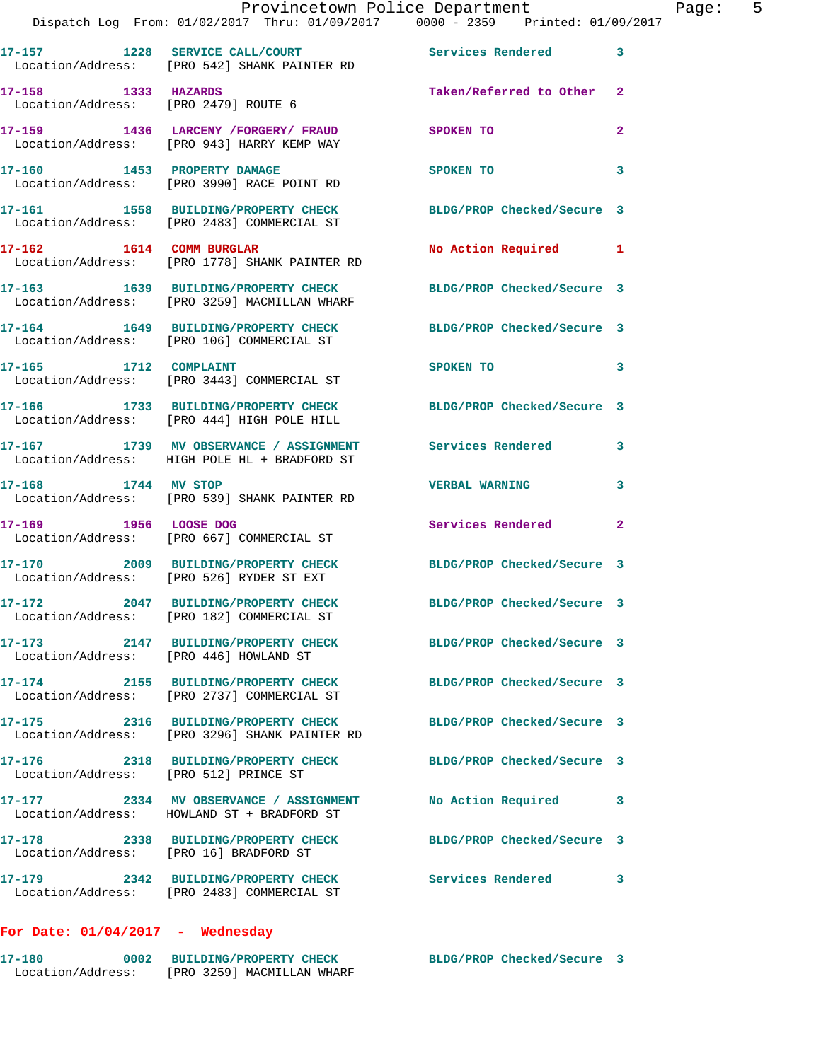|                                        | Provincetown Police Department<br>Dispatch Log From: 01/02/2017 Thru: 01/09/2017 0000 - 2359 Printed: 01/09/2017 |                                                                                                                             | Page: 5        |
|----------------------------------------|------------------------------------------------------------------------------------------------------------------|-----------------------------------------------------------------------------------------------------------------------------|----------------|
|                                        | 17-157 1228 SERVICE CALL/COURT 17-157 Services Rendered 3<br>Location/Address: [PRO 542] SHANK PAINTER RD        |                                                                                                                             |                |
| 17-158 1333 HAZARDS                    | Location/Address: [PRO 2479] ROUTE 6                                                                             | Taken/Referred to Other 2                                                                                                   |                |
|                                        | 17-159 1436 LARCENY / FORGERY / FRAUD SPOKEN TO<br>Location/Address: [PRO 943] HARRY KEMP WAY                    |                                                                                                                             | $\overline{2}$ |
|                                        | 17-160 1453 PROPERTY DAMAGE<br>Location/Address: [PRO 3990] RACE POINT RD                                        | SPOKEN TO                                                                                                                   | 3              |
|                                        | 17-161 1558 BUILDING/PROPERTY CHECK BLDG/PROP Checked/Secure 3<br>Location/Address: [PRO 2483] COMMERCIAL ST     |                                                                                                                             |                |
|                                        | 17-162 1614 COMM BURGLAR<br>Location/Address: [PRO 1778] SHANK PAINTER RD                                        | No Action Required 1                                                                                                        |                |
|                                        | 17-163 1639 BUILDING/PROPERTY CHECK BLDG/PROP Checked/Secure 3<br>Location/Address: [PRO 3259] MACMILLAN WHARF   |                                                                                                                             |                |
|                                        | 17-164 1649 BUILDING/PROPERTY CHECK BLDG/PROP Checked/Secure 3<br>Location/Address: [PRO 106] COMMERCIAL ST      |                                                                                                                             |                |
|                                        | 17-165 1712 COMPLAINT<br>Location/Address: [PRO 3443] COMMERCIAL ST                                              | SPOKEN TO THE STRIKE STRIKE STRIKE STRIKE STRIKE STRIKE STRIKE STRIKE STRIKE STRIKE STRIKE STRIKE STRIKE STRIKE<br>$\sim$ 3 |                |
|                                        | 17-166 1733 BUILDING/PROPERTY CHECK BLDG/PROP Checked/Secure 3<br>Location/Address: [PRO 444] HIGH POLE HILL     |                                                                                                                             |                |
|                                        | 17-167 1739 MV OBSERVANCE / ASSIGNMENT Services Rendered 3<br>Location/Address: HIGH POLE HL + BRADFORD ST       |                                                                                                                             |                |
|                                        | 17-168 1744 MV STOP<br>Location/Address: [PRO 539] SHANK PAINTER RD                                              | <b>VERBAL WARNING</b>                                                                                                       | 3              |
| 17-169 1956 LOOSE DOG                  | Location/Address: [PRO 667] COMMERCIAL ST                                                                        | Services Rendered                                                                                                           | $\mathbf{2}$   |
|                                        | 17-170 2009 BUILDING/PROPERTY CHECK<br>Location/Address: [PRO 526] RYDER ST EXT                                  | BLDG/PROP Checked/Secure 3                                                                                                  |                |
|                                        | 17-172 2047 BUILDING/PROPERTY CHECK<br>Location/Address: [PRO 182] COMMERCIAL ST                                 | BLDG/PROP Checked/Secure 3                                                                                                  |                |
| Location/Address: [PRO 446] HOWLAND ST | 17-173 2147 BUILDING/PROPERTY CHECK BLDG/PROP Checked/Secure 3                                                   |                                                                                                                             |                |
|                                        | 17-174 2155 BUILDING/PROPERTY CHECK<br>Location/Address: [PRO 2737] COMMERCIAL ST                                | BLDG/PROP Checked/Secure 3                                                                                                  |                |
|                                        | 17-175 2316 BUILDING/PROPERTY CHECK BLDG/PROP Checked/Secure 3<br>Location/Address: [PRO 3296] SHANK PAINTER RD  |                                                                                                                             |                |
| Location/Address: [PRO 512] PRINCE ST  | 17-176 2318 BUILDING/PROPERTY CHECK BLDG/PROP Checked/Secure 3                                                   |                                                                                                                             |                |
|                                        | 17-177 2334 MV OBSERVANCE / ASSIGNMENT<br>Location/Address: HOWLAND ST + BRADFORD ST                             | No Action Required                                                                                                          | 3              |
|                                        | 17-178 2338 BUILDING/PROPERTY CHECK BLDG/PROP Checked/Secure 3<br>Location/Address: [PRO 16] BRADFORD ST         |                                                                                                                             |                |
|                                        | 17-179 2342 BUILDING/PROPERTY CHECK Services Rendered<br>Location/Address: [PRO 2483] COMMERCIAL ST              |                                                                                                                             | 3              |

## **For Date: 01/04/2017 - Wednesday**

| 17–180            |  | 0002 BUILDING/PROPERTY CHECK | BLDG/PROP Checked/Secure 3 |  |
|-------------------|--|------------------------------|----------------------------|--|
| Location/Address: |  | [PRO 3259] MACMILLAN WHARF   |                            |  |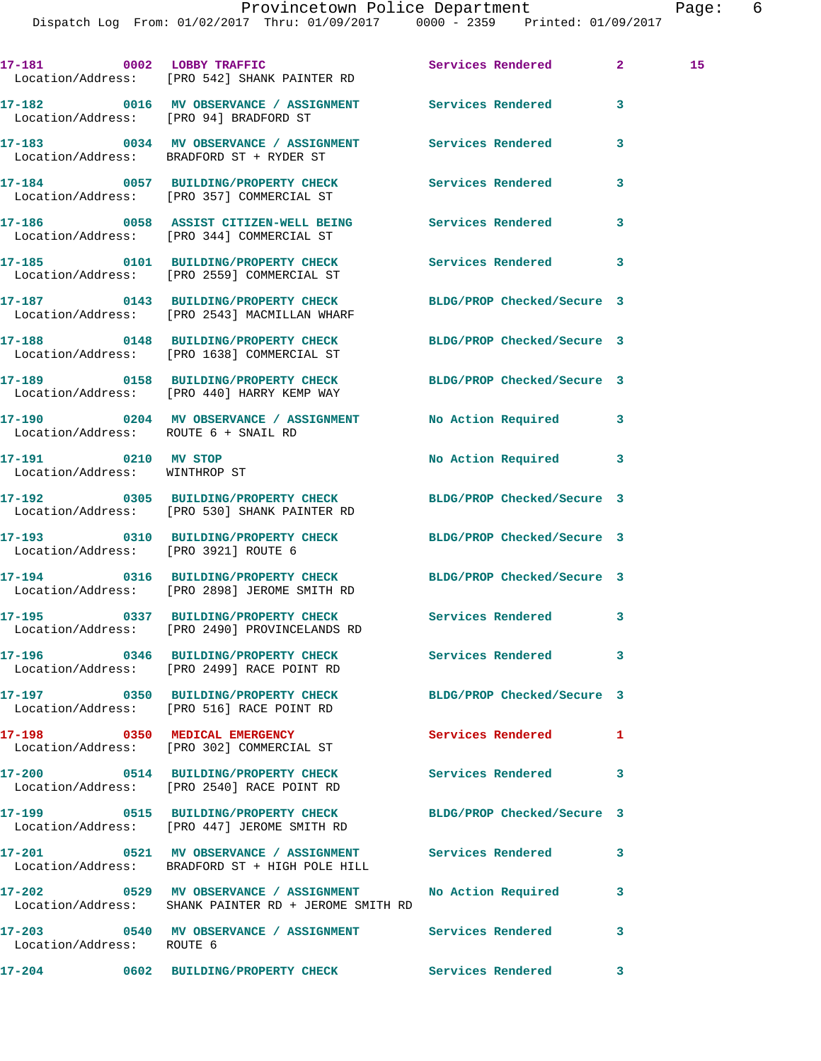Dispatch Log From: 01/02/2017 Thru: 01/09/2017 0000 - 2359 Printed: 01/09/2017

**17-181 0002 LOBBY TRAFFIC Services Rendered 2 15**  Location/Address: [PRO 542] SHANK PAINTER RD **17-182 0016 MV OBSERVANCE / ASSIGNMENT Services Rendered 3**  Location/Address: [PRO 94] BRADFORD ST **17-183 0034 MV OBSERVANCE / ASSIGNMENT Services Rendered 3**  Location/Address: BRADFORD ST + RYDER ST **17-184 0057 BUILDING/PROPERTY CHECK Services Rendered 3**  Location/Address: [PRO 357] COMMERCIAL ST **17-186 0058 ASSIST CITIZEN-WELL BEING Services Rendered 3**  Location/Address: [PRO 344] COMMERCIAL ST **17-185 0101 BUILDING/PROPERTY CHECK Services Rendered 3**  Location/Address: [PRO 2559] COMMERCIAL ST **17-187 0143 BUILDING/PROPERTY CHECK BLDG/PROP Checked/Secure 3**  Location/Address: [PRO 2543] MACMILLAN WHARF **17-188 0148 BUILDING/PROPERTY CHECK BLDG/PROP Checked/Secure 3**  Location/Address: [PRO 1638] COMMERCIAL ST **17-189 0158 BUILDING/PROPERTY CHECK BLDG/PROP Checked/Secure 3**  Location/Address: [PRO 440] HARRY KEMP WAY **17-190 0204 MV OBSERVANCE / ASSIGNMENT No Action Required 3**  Location/Address: ROUTE 6 + SNAIL RD **17-191 0210 MV STOP No Action Required 3**  Location/Address: WINTHROP ST **17-192 0305 BUILDING/PROPERTY CHECK BLDG/PROP Checked/Secure 3**  Location/Address: [PRO 530] SHANK PAINTER RD **17-193 0310 BUILDING/PROPERTY CHECK BLDG/PROP Checked/Secure 3**  Location/Address: [PRO 3921] ROUTE 6 **17-194 0316 BUILDING/PROPERTY CHECK BLDG/PROP Checked/Secure 3**  Location/Address: [PRO 2898] JEROME SMITH RD **17-195 0337 BUILDING/PROPERTY CHECK Services Rendered 3**  Location/Address: [PRO 2490] PROVINCELANDS RD **17-196 0346 BUILDING/PROPERTY CHECK Services Rendered 3**  Location/Address: [PRO 2499] RACE POINT RD **17-197 0350 BUILDING/PROPERTY CHECK BLDG/PROP Checked/Secure 3**  Location/Address: [PRO 516] RACE POINT RD **17-198 0350 MEDICAL EMERGENCY Services Rendered 1**  Location/Address: [PRO 302] COMMERCIAL ST **17-200 0514 BUILDING/PROPERTY CHECK Services Rendered 3**  Location/Address: [PRO 2540] RACE POINT RD **17-199 0515 BUILDING/PROPERTY CHECK BLDG/PROP Checked/Secure 3**  Location/Address: [PRO 447] JEROME SMITH RD **17-201 0521 MV OBSERVANCE / ASSIGNMENT Services Rendered 3**  Location/Address: BRADFORD ST + HIGH POLE HILL **17-202 0529 MV OBSERVANCE / ASSIGNMENT No Action Required 3**  Location/Address: SHANK PAINTER RD + JEROME SMITH RD **17-203 0540 MV OBSERVANCE / ASSIGNMENT Services Rendered 3**  Location/Address: ROUTE 6 **17-204 0602 BUILDING/PROPERTY CHECK Services Rendered 3**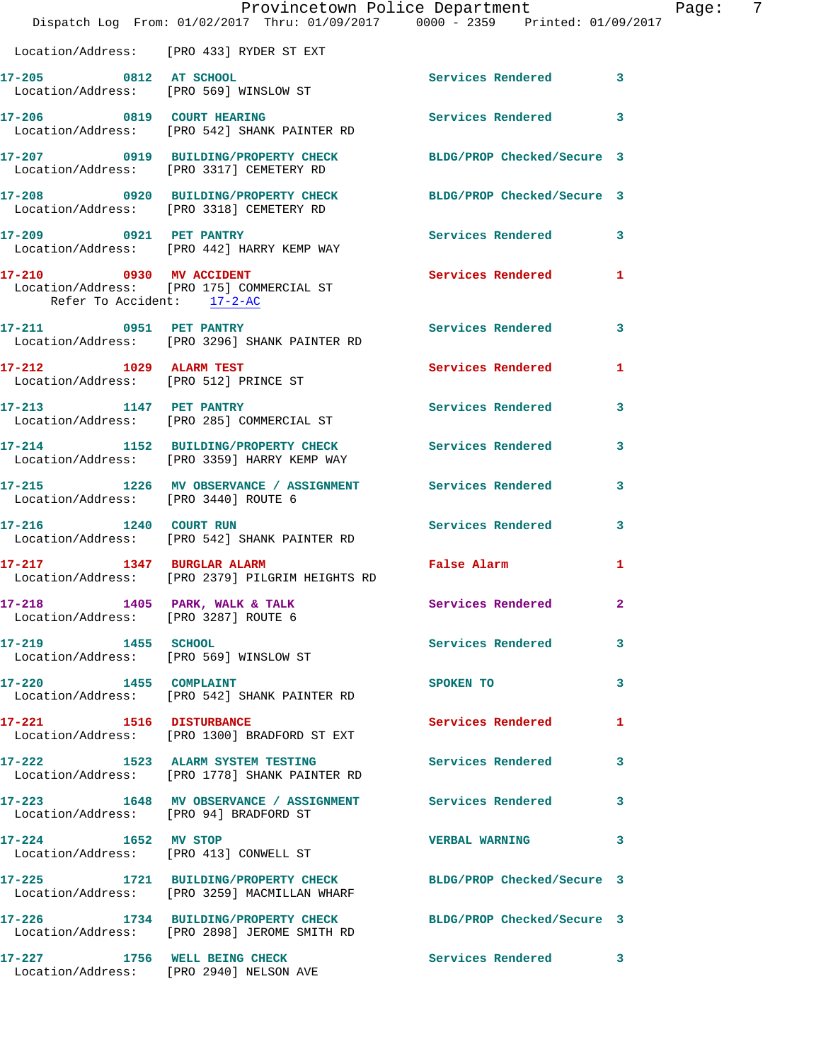|                                                                       | Provincetown Police Department The Page: 7<br>Dispatch Log From: 01/02/2017 Thru: 01/09/2017 0000 - 2359 Printed: 01/09/2017 |                                                                                                                |                         |  |
|-----------------------------------------------------------------------|------------------------------------------------------------------------------------------------------------------------------|----------------------------------------------------------------------------------------------------------------|-------------------------|--|
|                                                                       | Location/Address: [PRO 433] RYDER ST EXT                                                                                     |                                                                                                                |                         |  |
| 17-205 0812 AT SCHOOL                                                 | Location/Address: [PRO 569] WINSLOW ST                                                                                       | Services Rendered 3                                                                                            |                         |  |
|                                                                       | 17-206 0819 COURT HEARING<br>Location/Address: [PRO 542] SHANK PAINTER RD                                                    | Services Rendered                                                                                              | $\overline{\mathbf{3}}$ |  |
|                                                                       | 17-207 0919 BUILDING/PROPERTY CHECK BLDG/PROP Checked/Secure 3<br>Location/Address: [PRO 3317] CEMETERY RD                   |                                                                                                                |                         |  |
|                                                                       | 17-208 0920 BUILDING/PROPERTY CHECK BLDG/PROP Checked/Secure 3<br>Location/Address: [PRO 3318] CEMETERY RD                   |                                                                                                                |                         |  |
|                                                                       | 17-209 0921 PET PANTRY<br>Location/Address: [PRO 442] HARRY KEMP WAY                                                         | Services Rendered 3                                                                                            |                         |  |
| Refer To Accident: 17-2-AC                                            | 17-210 0930 MV ACCIDENT<br>Location/Address: [PRO 175] COMMERCIAL ST                                                         | Services Rendered 1                                                                                            |                         |  |
|                                                                       | 17-211 0951 PET PANTRY<br>Location/Address: [PRO 3296] SHANK PAINTER RD                                                      | Services Rendered                                                                                              | $\mathbf{3}$            |  |
| 17-212 1029 ALARM TEST                                                | Location/Address: [PRO 512] PRINCE ST                                                                                        | Services Rendered                                                                                              | $\mathbf{1}$            |  |
|                                                                       | 17-213 1147 PET PANTRY<br>Location/Address: [PRO 285] COMMERCIAL ST                                                          | Services Rendered                                                                                              | 3                       |  |
|                                                                       | 17-214 1152 BUILDING/PROPERTY CHECK Services Rendered 3<br>Location/Address: [PRO 3359] HARRY KEMP WAY                       |                                                                                                                |                         |  |
| Location/Address: [PRO 3440] ROUTE 6                                  | 17-215 1226 MV OBSERVANCE / ASSIGNMENT Services Rendered                                                                     |                                                                                                                | 3                       |  |
| 17-216 1240 COURT RUN                                                 | Location/Address: [PRO 542] SHANK PAINTER RD                                                                                 | Services Rendered 3                                                                                            |                         |  |
|                                                                       | 17-217 1347 BURGLAR ALARM<br>Location/Address: [PRO 2379] PILGRIM HEIGHTS RD                                                 | False Alarm and the state of the state of the state of the state of the state of the state of the state of the | 1                       |  |
| 17-218 1405 PARK, WALK & TALK<br>Location/Address: [PRO 3287] ROUTE 6 |                                                                                                                              | Services Rendered 2                                                                                            |                         |  |
| 17-219 1455 SCHOOL<br>Location/Address: [PRO 569] WINSLOW ST          |                                                                                                                              | Services Rendered                                                                                              | 3                       |  |
| 17-220 1455 COMPLAINT                                                 | Location/Address: [PRO 542] SHANK PAINTER RD                                                                                 | SPOKEN TO                                                                                                      | 3                       |  |
| 17-221 1516 DISTURBANCE                                               | Location/Address: [PRO 1300] BRADFORD ST EXT                                                                                 | <b>Services Rendered</b>                                                                                       | 1                       |  |
|                                                                       | 17-222 1523 ALARM SYSTEM TESTING<br>Location/Address: [PRO 1778] SHANK PAINTER RD                                            | <b>Services Rendered</b>                                                                                       | $\overline{\mathbf{3}}$ |  |
| Location/Address: [PRO 94] BRADFORD ST                                | 17-223 1648 MV OBSERVANCE / ASSIGNMENT Services Rendered                                                                     |                                                                                                                | 3                       |  |
| 17-224 1652 MV STOP                                                   | Location/Address: [PRO 413] CONWELL ST                                                                                       | <b>VERBAL WARNING</b>                                                                                          | 3                       |  |
|                                                                       | 17-225 1721 BUILDING/PROPERTY CHECK BLDG/PROP Checked/Secure 3<br>Location/Address: [PRO 3259] MACMILLAN WHARF               |                                                                                                                |                         |  |
|                                                                       | 17-226 1734 BUILDING/PROPERTY CHECK BLDG/PROP Checked/Secure 3<br>Location/Address: [PRO 2898] JEROME SMITH RD               |                                                                                                                |                         |  |
|                                                                       | 17-227 1756 WELL BEING CHECK<br>Location/Address: [PRO 2940] NELSON AVE                                                      | Services Rendered 3                                                                                            |                         |  |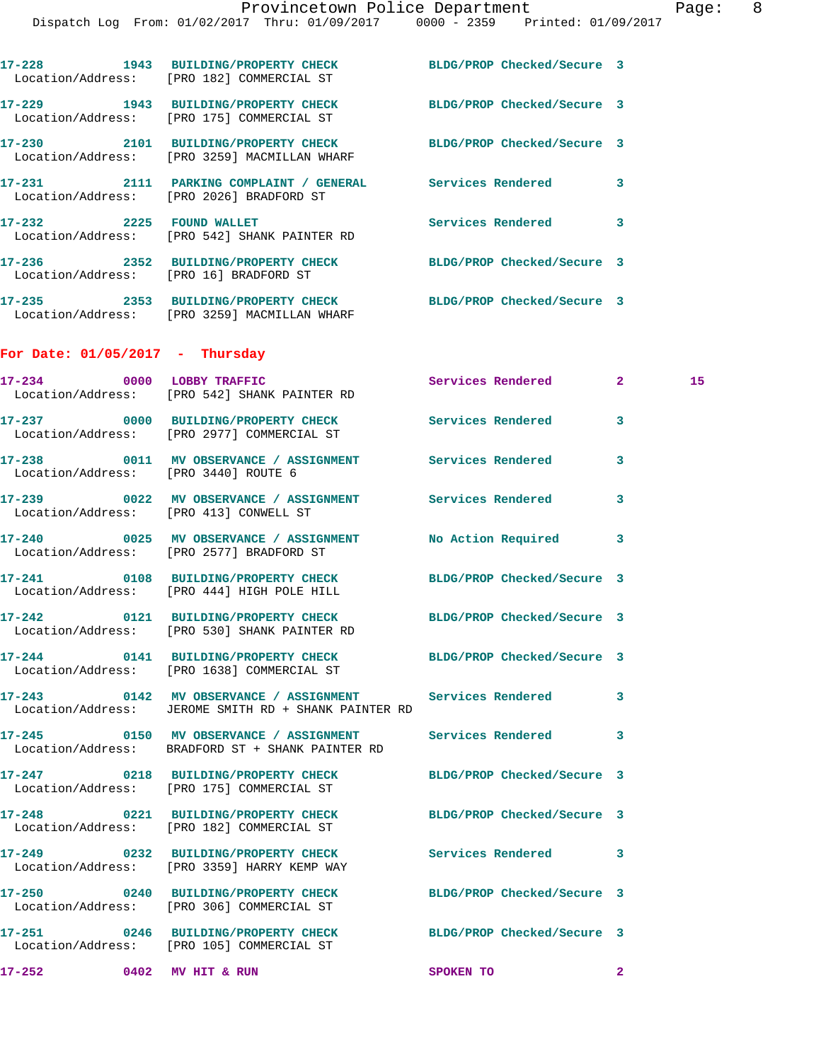|                                        | 17-228 1943 BUILDING/PROPERTY CHECK BLDG/PROP Checked/Secure 3<br>Location/Address: [PRO 182] COMMERCIAL ST      |                            |              |    |
|----------------------------------------|------------------------------------------------------------------------------------------------------------------|----------------------------|--------------|----|
|                                        | 17-229 1943 BUILDING/PROPERTY CHECK<br>Location/Address: [PRO 175] COMMERCIAL ST                                 | BLDG/PROP Checked/Secure 3 |              |    |
|                                        | 17-230 2101 BUILDING/PROPERTY CHECK BLDG/PROP Checked/Secure 3<br>Location/Address: [PRO 3259] MACMILLAN WHARF   |                            |              |    |
|                                        | 17-231 2111 PARKING COMPLAINT / GENERAL Services Rendered 3<br>Location/Address: [PRO 2026] BRADFORD ST          |                            |              |    |
|                                        | 17-232 2225 FOUND WALLET<br>Location/Address: [PRO 542] SHANK PAINTER RD                                         | Services Rendered 3        |              |    |
|                                        | 17-236 2352 BUILDING/PROPERTY CHECK<br>Location/Address: [PRO 16] BRADFORD ST                                    | BLDG/PROP Checked/Secure 3 |              |    |
|                                        | 17-235 2353 BUILDING/PROPERTY CHECK BLDG/PROP Checked/Secure 3<br>Location/Address: [PRO 3259] MACMILLAN WHARF   |                            |              |    |
| For Date: $01/05/2017$ - Thursday      |                                                                                                                  |                            |              |    |
|                                        | 17-234 0000 LOBBY TRAFFIC<br>Location/Address: [PRO 542] SHANK PAINTER RD                                        | Services Rendered 2        |              | 15 |
|                                        | 17-237 0000 BUILDING/PROPERTY CHECK Services Rendered 3<br>Location/Address: [PRO 2977] COMMERCIAL ST            |                            |              |    |
| Location/Address: [PRO 3440] ROUTE 6   | 17-238 0011 MV OBSERVANCE / ASSIGNMENT Services Rendered                                                         |                            | 3            |    |
| Location/Address: [PRO 413] CONWELL ST | 17-239 6022 MV OBSERVANCE / ASSIGNMENT Services Rendered                                                         |                            | 3            |    |
|                                        | 17-240 0025 MV OBSERVANCE / ASSIGNMENT No Action Required<br>Location/Address: [PRO 2577] BRADFORD ST            |                            | 3            |    |
|                                        | 17-241 0108 BUILDING/PROPERTY CHECK BLDG/PROP Checked/Secure 3<br>Location/Address: [PRO 444] HIGH POLE HILL     |                            |              |    |
|                                        | 17-242 0121 BUILDING/PROPERTY CHECK BLDG/PROP Checked/Secure 3<br>Location/Address: [PRO 530] SHANK PAINTER RD   |                            |              |    |
|                                        | 17-244 0141 BUILDING/PROPERTY CHECK BLDG/PROP Checked/Secure 3<br>Location/Address: [PRO 1638] COMMERCIAL ST     |                            |              |    |
|                                        | 17-243 0142 MV OBSERVANCE / ASSIGNMENT Services Rendered<br>Location/Address: JEROME SMITH RD + SHANK PAINTER RD |                            | 3            |    |
|                                        | 17-245 0150 MV OBSERVANCE / ASSIGNMENT<br>Location/Address: BRADFORD ST + SHANK PAINTER RD                       | <b>Services Rendered</b>   | 3            |    |
|                                        | 17-247 0218 BUILDING/PROPERTY CHECK BLDG/PROP Checked/Secure 3<br>Location/Address: [PRO 175] COMMERCIAL ST      |                            |              |    |
|                                        | 17-248 0221 BUILDING/PROPERTY CHECK BLDG/PROP Checked/Secure 3<br>Location/Address: [PRO 182] COMMERCIAL ST      |                            |              |    |
|                                        | 17-249 0232 BUILDING/PROPERTY CHECK Services Rendered<br>Location/Address: [PRO 3359] HARRY KEMP WAY             |                            | 3            |    |
|                                        | 17-250 0240 BUILDING/PROPERTY CHECK BLDG/PROP Checked/Secure 3<br>Location/Address: [PRO 306] COMMERCIAL ST      |                            |              |    |
|                                        | 17-251 0246 BUILDING/PROPERTY CHECK BLDG/PROP Checked/Secure 3<br>Location/Address: [PRO 105] COMMERCIAL ST      |                            |              |    |
| 17-252 0402 MV HIT & RUN               |                                                                                                                  | SPOKEN TO                  | $\mathbf{2}$ |    |
|                                        |                                                                                                                  |                            |              |    |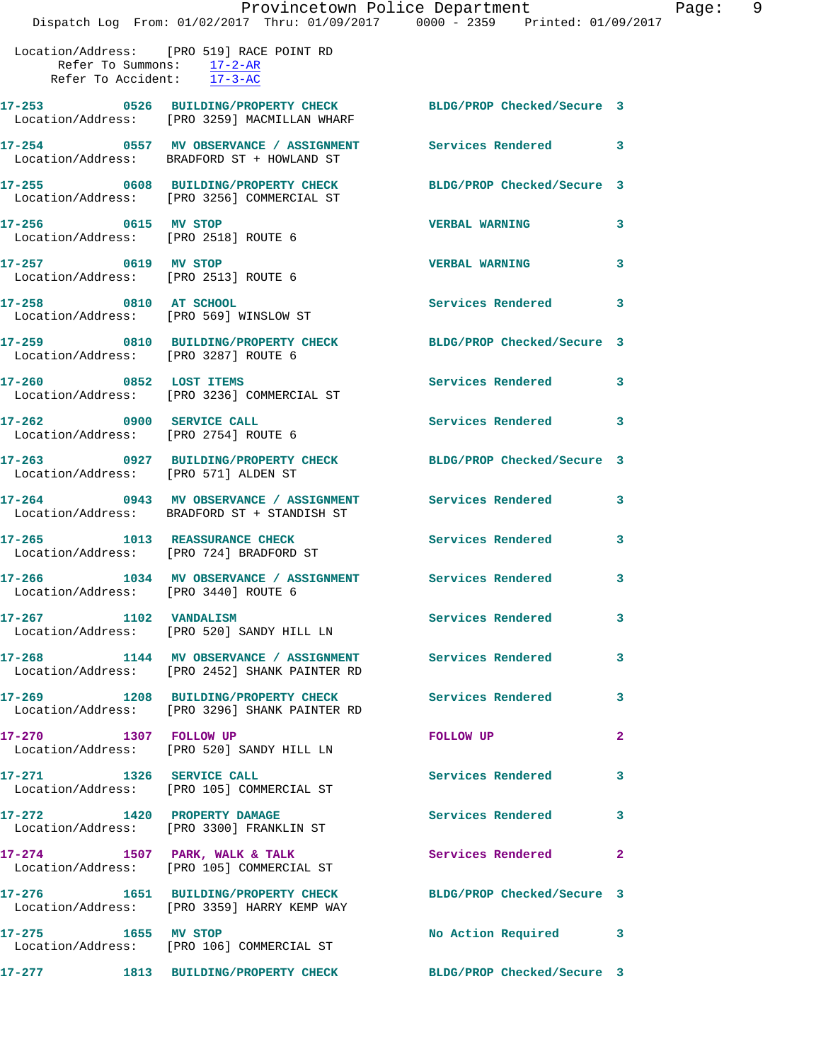|                                                                 | Provincetown Police Department<br>Dispatch Log From: 01/02/2017 Thru: 01/09/2017 0000 - 2359 Printed: 01/09/2017 |                            |                |
|-----------------------------------------------------------------|------------------------------------------------------------------------------------------------------------------|----------------------------|----------------|
| Refer To Summons: $17-2-AR$<br>Refer To Accident: 17-3-AC       | Location/Address: [PRO 519] RACE POINT RD                                                                        |                            |                |
|                                                                 | 17-253 0526 BUILDING/PROPERTY CHECK BLDG/PROP Checked/Secure 3<br>Location/Address: [PRO 3259] MACMILLAN WHARF   |                            |                |
|                                                                 | 17-254 0557 MV OBSERVANCE / ASSIGNMENT Services Rendered<br>Location/Address: BRADFORD ST + HOWLAND ST           |                            | 3              |
|                                                                 | 17-255 0608 BUILDING/PROPERTY CHECK BLDG/PROP Checked/Secure 3<br>Location/Address: [PRO 3256] COMMERCIAL ST     |                            |                |
| 17-256 0615 MV STOP<br>Location/Address: [PRO 2518] ROUTE 6     |                                                                                                                  | <b>VERBAL WARNING</b>      | 3              |
| 17-257 0619 MV STOP<br>Location/Address: [PRO 2513] ROUTE 6     |                                                                                                                  | <b>VERBAL WARNING</b>      | 3              |
| 17-258 0810 AT SCHOOL<br>Location/Address: [PRO 569] WINSLOW ST |                                                                                                                  | Services Rendered          | 3              |
| Location/Address: [PRO 3287] ROUTE 6                            | 17-259 0810 BUILDING/PROPERTY CHECK                                                                              | BLDG/PROP Checked/Secure 3 |                |
|                                                                 | 17-260 0852 LOST ITEMS<br>Location/Address: [PRO 3236] COMMERCIAL ST                                             | <b>Services Rendered</b>   | 3              |
| 17-262 0900 SERVICE CALL                                        | Location/Address: [PRO 2754] ROUTE 6                                                                             | <b>Services Rendered</b>   | 3              |
| Location/Address: [PRO 571] ALDEN ST                            | 17-263 0927 BUILDING/PROPERTY CHECK BLDG/PROP Checked/Secure 3                                                   |                            |                |
|                                                                 | 17-264 0943 MV OBSERVANCE / ASSIGNMENT Services Rendered<br>Location/Address: BRADFORD ST + STANDISH ST          |                            | 3              |
|                                                                 | 17-265 1013 REASSURANCE CHECK<br>Location/Address: [PRO 724] BRADFORD ST                                         | <b>Services Rendered</b>   | 3              |
| 17-266<br>Location/Address: [PRO 3440] ROUTE 6                  | 1034 MV OBSERVANCE / ASSIGNMENT Services Rendered                                                                |                            | 3              |
| 17-267 1102 VANDALISM                                           | Location/Address: [PRO 520] SANDY HILL LN                                                                        | <b>Services Rendered</b>   | 3              |
|                                                                 |                                                                                                                  |                            | 3              |
|                                                                 | 17-269 1208 BUILDING/PROPERTY CHECK<br>Location/Address: [PRO 3296] SHANK PAINTER RD                             | Services Rendered          | 3              |
| 17-270 1307 FOLLOW UP                                           | Location/Address: [PRO 520] SANDY HILL LN                                                                        | <b>FOLLOW UP</b>           | $\overline{a}$ |
| 17-271 1326 SERVICE CALL                                        | Location/Address: [PRO 105] COMMERCIAL ST                                                                        | <b>Services Rendered</b>   | 3              |
| 17-272 1420 PROPERTY DAMAGE                                     | Location/Address: [PRO 3300] FRANKLIN ST                                                                         | <b>Services Rendered</b>   | 3              |
|                                                                 | $17-274$ 1507 PARK, WALK & TALK<br>Location/Address: [PRO 105] COMMERCIAL ST                                     | Services Rendered          | $\mathbf{2}$   |
|                                                                 | 17-276 1651 BUILDING/PROPERTY CHECK BLDG/PROP Checked/Secure 3<br>Location/Address: [PRO 3359] HARRY KEMP WAY    |                            |                |
| 17-275 1655 MV STOP                                             | Location/Address: [PRO 106] COMMERCIAL ST                                                                        | No Action Required         | 3              |
|                                                                 |                                                                                                                  |                            |                |

**17-277 1813 BUILDING/PROPERTY CHECK BLDG/PROP Checked/Secure 3** 

Page: 9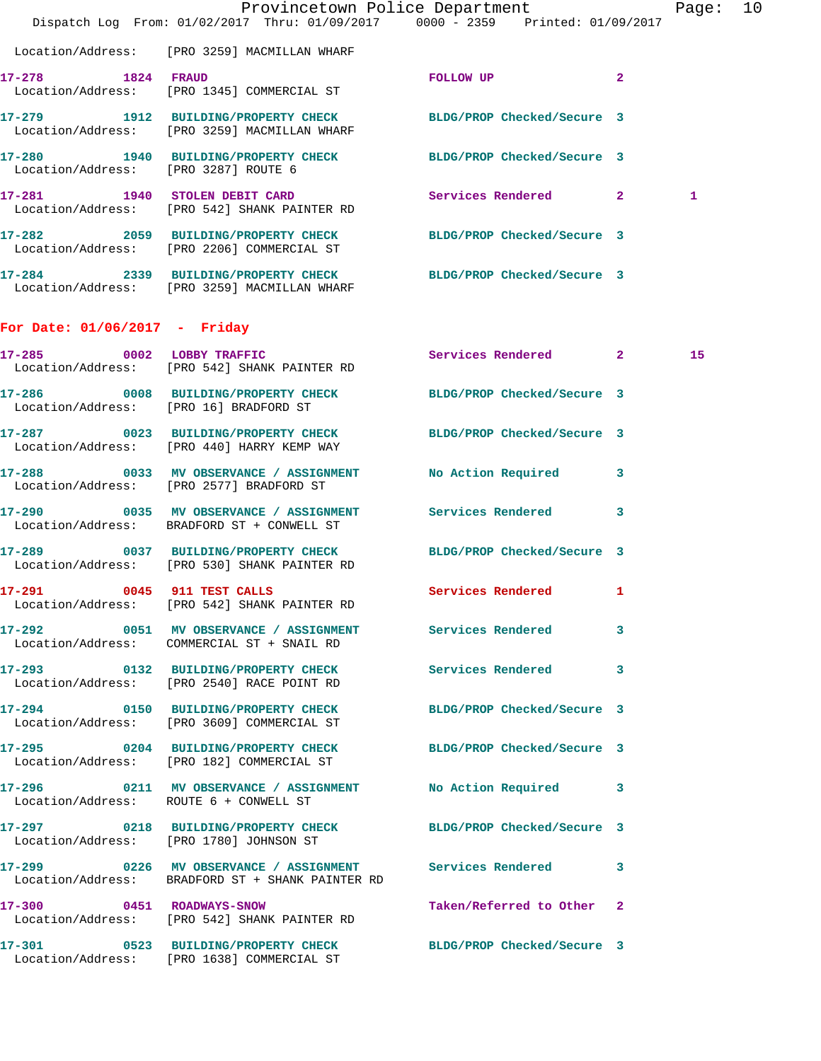|                                        | Dispatch Log From: 01/02/2017 Thru: 01/09/2017 0000 - 2359 Printed: 01/09/2017                                     | Provincetown Police Department | Page: 10 |  |
|----------------------------------------|--------------------------------------------------------------------------------------------------------------------|--------------------------------|----------|--|
|                                        | Location/Address: [PRO 3259] MACMILLAN WHARF                                                                       |                                |          |  |
| 17-278 1824 FRAUD                      | Location/Address: [PRO 1345] COMMERCIAL ST                                                                         | $\overline{2}$<br>FOLLOW UP    |          |  |
|                                        | 17-279 1912 BUILDING/PROPERTY CHECK BLDG/PROP Checked/Secure 3<br>Location/Address: [PRO 3259] MACMILLAN WHARF     |                                |          |  |
| Location/Address: [PRO 3287] ROUTE 6   | 17-280 1940 BUILDING/PROPERTY CHECK BLDG/PROP Checked/Secure 3                                                     |                                |          |  |
|                                        | 17-281 1940 STOLEN DEBIT CARD Services Rendered 2<br>Location/Address: [PRO 542] SHANK PAINTER RD                  |                                | 1        |  |
|                                        | 17-282 2059 BUILDING/PROPERTY CHECK BLDG/PROP Checked/Secure 3<br>Location/Address: [PRO 2206] COMMERCIAL ST       |                                |          |  |
|                                        | 17-284 2339 BUILDING/PROPERTY CHECK BLDG/PROP Checked/Secure 3<br>Location/Address: [PRO 3259] MACMILLAN WHARF     |                                |          |  |
| For Date: $01/06/2017$ - Friday        |                                                                                                                    |                                |          |  |
|                                        | 17-285 0002 LOBBY TRAFFIC<br>Location/Address: [PRO 542] SHANK PAINTER RD                                          | Services Rendered 2            | 15       |  |
| Location/Address: [PRO 16] BRADFORD ST | 17-286 0008 BUILDING/PROPERTY CHECK BLDG/PROP Checked/Secure 3                                                     |                                |          |  |
|                                        | 17-287 0023 BUILDING/PROPERTY CHECK BLDG/PROP Checked/Secure 3<br>Location/Address: [PRO 440] HARRY KEMP WAY       |                                |          |  |
|                                        | 17-288 0033 MV OBSERVANCE / ASSIGNMENT<br>Location/Address: [PRO 2577] BRADFORD ST                                 | No Action Required 3           |          |  |
|                                        | 17-290 0035 MV OBSERVANCE / ASSIGNMENT Services Rendered 3<br>Location/Address: BRADFORD ST + CONWELL ST           |                                |          |  |
|                                        | 17-289 0037 BUILDING/PROPERTY CHECK<br>Location/Address: [PRO 530] SHANK PAINTER RD                                | BLDG/PROP Checked/Secure 3     |          |  |
| 17-291                                 | 0045 911 TEST CALLS<br>Location/Address: [PRO 542] SHANK PAINTER RD                                                | Services Rendered 1            |          |  |
|                                        | 17-292 0051 MV OBSERVANCE / ASSIGNMENT Services Rendered 3<br>Location/Address: COMMERCIAL ST + SNAIL RD           |                                |          |  |
|                                        | 17-293 0132 BUILDING/PROPERTY CHECK Services Rendered 3<br>Location/Address: [PRO 2540] RACE POINT RD              |                                |          |  |
|                                        | 17-294 0150 BUILDING/PROPERTY CHECK BLDG/PROP Checked/Secure 3<br>Location/Address: [PRO 3609] COMMERCIAL ST       |                                |          |  |
|                                        | 17-295 0204 BUILDING/PROPERTY CHECK BLDG/PROP Checked/Secure 3<br>Location/Address: [PRO 182] COMMERCIAL ST        |                                |          |  |
| Location/Address: ROUTE 6 + CONWELL ST | 17-296 0211 MV OBSERVANCE / ASSIGNMENT No Action Required 3                                                        |                                |          |  |
|                                        | 17-297 0218 BUILDING/PROPERTY CHECK BLDG/PROP Checked/Secure 3<br>Location/Address: [PRO 1780] JOHNSON ST          |                                |          |  |
|                                        | 17-299 			 0226 MV OBSERVANCE / ASSIGNMENT Services Rendered 3<br>Location/Address: BRADFORD ST + SHANK PAINTER RD |                                |          |  |
|                                        | 17-300 0451 ROADWAYS-SNOW<br>Location/Address: [PRO 542] SHANK PAINTER RD                                          | Taken/Referred to Other 2      |          |  |
|                                        | 17-301 0523 BUILDING/PROPERTY CHECK BLDG/PROP Checked/Secure 3<br>Location/Address: [PRO 1638] COMMERCIAL ST       |                                |          |  |
|                                        |                                                                                                                    |                                |          |  |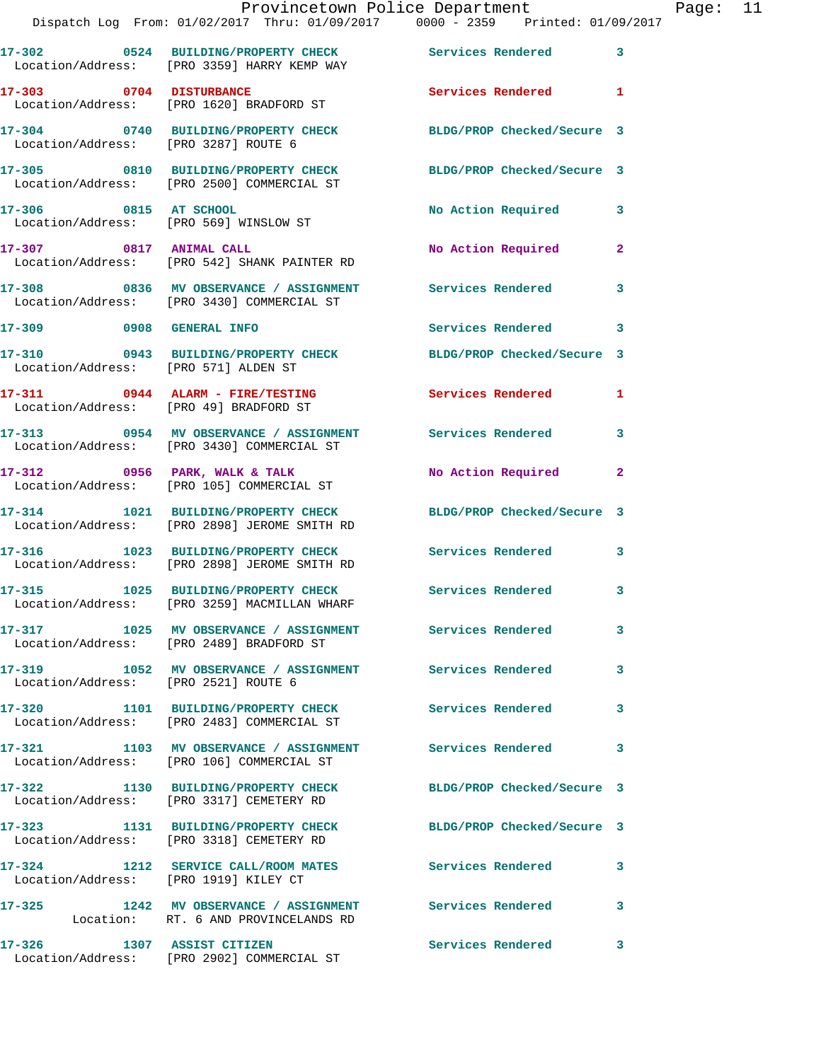|                                       | Dispatch Log From: 01/02/2017 Thru: 01/09/2017 0000 - 2359 Printed: 01/09/2017                                 | Provincetown Police Department |                | Page: 11 |  |
|---------------------------------------|----------------------------------------------------------------------------------------------------------------|--------------------------------|----------------|----------|--|
|                                       | 17-302 0524 BUILDING/PROPERTY CHECK Services Rendered 3<br>Location/Address: [PRO 3359] HARRY KEMP WAY         |                                |                |          |  |
|                                       | 17-303 0704 DISTURBANCE<br>Location/Address: [PRO 1620] BRADFORD ST                                            | Services Rendered 1            |                |          |  |
|                                       | 17-304 0740 BUILDING/PROPERTY CHECK BLDG/PROP Checked/Secure 3<br>Location/Address: [PRO 3287] ROUTE 6         |                                |                |          |  |
|                                       | 17-305 0810 BUILDING/PROPERTY CHECK BLDG/PROP Checked/Secure 3<br>Location/Address: [PRO 2500] COMMERCIAL ST   |                                |                |          |  |
|                                       | 17-306 0815 AT SCHOOL<br>Location/Address: [PRO 569] WINSLOW ST                                                | No Action Required 3           |                |          |  |
|                                       | 17-307 0817 ANIMAL CALL<br>Location/Address: [PRO 542] SHANK PAINTER RD                                        | No Action Required             | $\mathbf{2}$   |          |  |
|                                       | 17-308 0836 MV OBSERVANCE / ASSIGNMENT Services Rendered 3<br>Location/Address: [PRO 3430] COMMERCIAL ST       |                                |                |          |  |
| 17-309 0908 GENERAL INFO              |                                                                                                                | Services Rendered 3            |                |          |  |
| Location/Address: [PRO 571] ALDEN ST  | 17-310 0943 BUILDING/PROPERTY CHECK BLDG/PROP Checked/Secure 3                                                 |                                |                |          |  |
|                                       | 17-311 0944 ALARM - FIRE/TESTING<br>Location/Address: [PRO 49] BRADFORD ST                                     | Services Rendered 1            |                |          |  |
|                                       | 17-313 0954 MV OBSERVANCE / ASSIGNMENT Services Rendered 3<br>Location/Address: [PRO 3430] COMMERCIAL ST       |                                |                |          |  |
|                                       | 17-312 0956 PARK, WALK & TALK<br>Location/Address: [PRO 105] COMMERCIAL ST                                     | No Action Required             | $\overline{2}$ |          |  |
|                                       | 17-314 1021 BUILDING/PROPERTY CHECK BLDG/PROP Checked/Secure 3<br>Location/Address: [PRO 2898] JEROME SMITH RD |                                |                |          |  |
|                                       | 17-316 1023 BUILDING/PROPERTY CHECK Services Rendered<br>Location/Address: [PRO 2898] JEROME SMITH RD          |                                | 3              |          |  |
|                                       | 17-315 1025 BUILDING/PROPERTY CHECK Services Rendered 3<br>Location/Address: [PRO 3259] MACMILLAN WHARF        |                                |                |          |  |
|                                       | 17-317 1025 MV OBSERVANCE / ASSIGNMENT Services Rendered<br>Location/Address: [PRO 2489] BRADFORD ST           |                                | 3              |          |  |
| Location/Address: [PRO 2521] ROUTE 6  | 17-319 1052 MV OBSERVANCE / ASSIGNMENT Services Rendered                                                       |                                | 3              |          |  |
|                                       | 17-320 1101 BUILDING/PROPERTY CHECK Services Rendered<br>Location/Address: [PRO 2483] COMMERCIAL ST            |                                | 3              |          |  |
|                                       | 17-321 1103 MV OBSERVANCE / ASSIGNMENT Services Rendered<br>Location/Address: [PRO 106] COMMERCIAL ST          |                                | 3              |          |  |
|                                       | 17-322 1130 BUILDING/PROPERTY CHECK BLDG/PROP Checked/Secure 3<br>Location/Address: [PRO 3317] CEMETERY RD     |                                |                |          |  |
|                                       | 17-323 1131 BUILDING/PROPERTY CHECK<br>Location/Address: [PRO 3318] CEMETERY RD                                | BLDG/PROP Checked/Secure 3     |                |          |  |
| Location/Address: [PRO 1919] KILEY CT | 17-324 1212 SERVICE CALL/ROOM MATES Services Rendered                                                          |                                | 3              |          |  |
|                                       | 17-325 1242 MV OBSERVANCE / ASSIGNMENT Services Rendered 3<br>Location: RT. 6 AND PROVINCELANDS RD             |                                |                |          |  |
|                                       | 17-326 1307 ASSIST CITIZEN<br>Location/Address: [PRO 2902] COMMERCIAL ST                                       | <b>Services Rendered</b>       | 3              |          |  |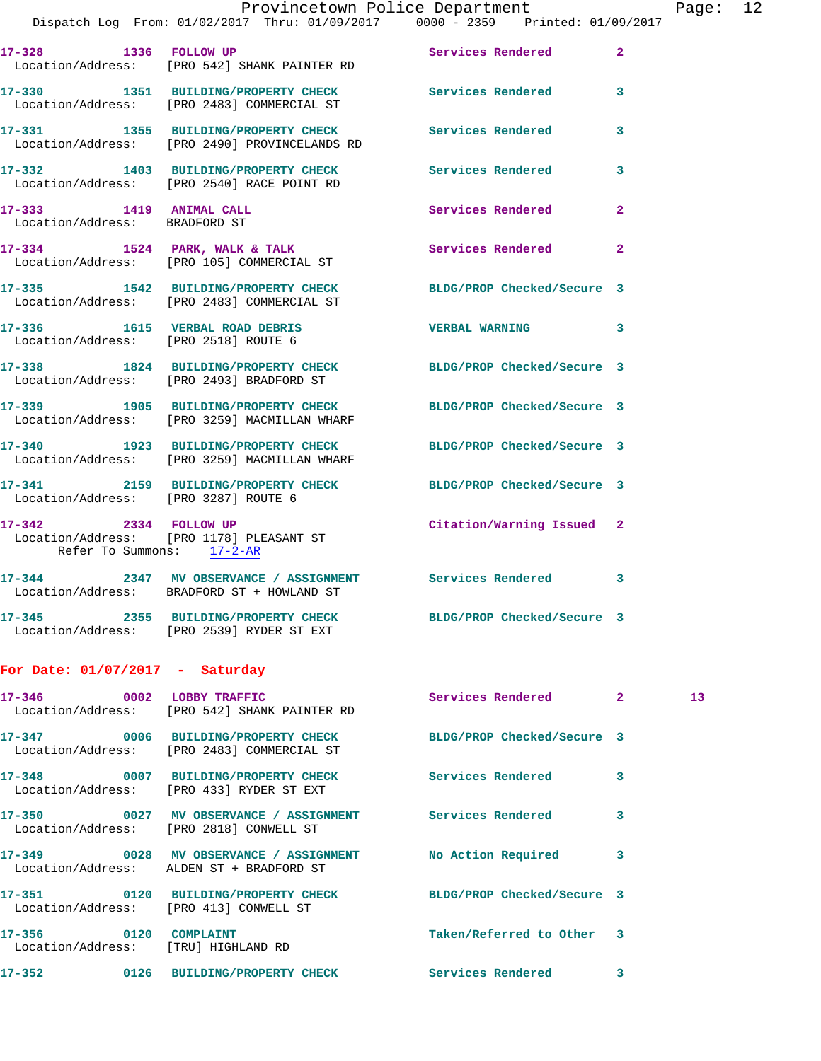|                                                          |                                                                                      | Provincetown Police Department                                                                      |              |          |  |
|----------------------------------------------------------|--------------------------------------------------------------------------------------|-----------------------------------------------------------------------------------------------------|--------------|----------|--|
|                                                          |                                                                                      | Dispatch Log From: 01/02/2017 Thru: 01/09/2017 0000 - 2359 Printed: 01/09/2017                      |              | Page: 12 |  |
|                                                          | 17-328 1336 FOLLOW UP<br>Location/Address: [PRO 542] SHANK PAINTER RD                | <b>Services Rendered</b> 2                                                                          |              |          |  |
|                                                          | Location/Address: [PRO 2483] COMMERCIAL ST                                           | 17-330 1351 BUILDING/PROPERTY CHECK Services Rendered 3                                             |              |          |  |
|                                                          | 17-331 1355 BUILDING/PROPERTY CHECK<br>Location/Address: [PRO 2490] PROVINCELANDS RD | <b>Services Rendered</b>                                                                            | 3            |          |  |
|                                                          |                                                                                      | 17-332 1403 BUILDING/PROPERTY CHECK Services Rendered<br>Location/Address: [PRO 2540] RACE POINT RD | $\mathbf{3}$ |          |  |
| 17-333 1419 ANIMAL CALL<br>Location/Address: BRADFORD ST |                                                                                      | Services Rendered                                                                                   | $\mathbf{2}$ |          |  |
|                                                          | 17-334 1524 PARK, WALK & TALK<br>Location/Address: [PRO 105] COMMERCIAL ST           | Services Rendered                                                                                   | $\mathbf{2}$ |          |  |
|                                                          | Location/Address: [PRO 2483] COMMERCIAL ST                                           | 17-335 1542 BUILDING/PROPERTY CHECK BLDG/PROP Checked/Secure 3                                      |              |          |  |
|                                                          | 17-336 1615 VERBAL ROAD DEBRIS<br>Location/Address: [PRO 2518] ROUTE 6               | VERBAL WARNING 3                                                                                    |              |          |  |
|                                                          | Location/Address: [PRO 2493] BRADFORD ST                                             | 17-338 1824 BUILDING/PROPERTY CHECK BLDG/PROP Checked/Secure 3                                      |              |          |  |
|                                                          | 17-339 1905 BUILDING/PROPERTY CHECK<br>Location/Address: [PRO 3259] MACMILLAN WHARF  | BLDG/PROP Checked/Secure 3                                                                          |              |          |  |
|                                                          | Location/Address: [PRO 3259] MACMILLAN WHARF                                         | 17-340 1923 BUILDING/PROPERTY CHECK BLDG/PROP Checked/Secure 3                                      |              |          |  |
| Location/Address: [PRO 3287] ROUTE 6                     |                                                                                      | 17-341 2159 BUILDING/PROPERTY CHECK BLDG/PROP Checked/Secure 3                                      |              |          |  |
| 17-342 2334 FOLLOW UP<br>Refer To Summons: 17-2-AR       | Location/Address: [PRO 1178] PLEASANT ST                                             | Citation/Warning Issued 2                                                                           |              |          |  |
| $17 - 344$                                               | 2347 MV OBSERVANCE / ASSIGNMENT<br>Location/Address: BRADFORD ST + HOWLAND ST        | <b>Services Rendered</b>                                                                            | 3            |          |  |
|                                                          | 17-345 2355 BUILDING/PROPERTY CHECK<br>Location/Address: [PRO 2539] RYDER ST EXT     | BLDG/PROP Checked/Secure 3                                                                          |              |          |  |
| For Date: $01/07/2017$ - Saturday                        |                                                                                      |                                                                                                     |              |          |  |
| 17-346 0002 LOBBY TRAFFIC                                | Location/Address: [PRO 542] SHANK PAINTER RD                                         | Services Rendered                                                                                   | $\mathbf{2}$ | 13       |  |
|                                                          | 17-347 0006 BUILDING/PROPERTY CHECK<br>Location/Address: [PRO 2483] COMMERCIAL ST    | BLDG/PROP Checked/Secure 3                                                                          |              |          |  |
| $17 - 348$                                               | 0007 BUILDING/PROPERTY CHECK                                                         | Services Rendered                                                                                   | $\mathbf{3}$ |          |  |

**17-352 0126 BUILDING/PROPERTY CHECK Services Rendered 3** 

**17-350 0027 MV OBSERVANCE / ASSIGNMENT Services Rendered 3** 

**17-349 0028 MV OBSERVANCE / ASSIGNMENT No Action Required 3** 

**17-351 0120 BUILDING/PROPERTY CHECK BLDG/PROP Checked/Secure 3** 

**17-356 0120 COMPLAINT Taken/Referred to Other 3** 

Location/Address: [PRO 433] RYDER ST EXT

Location/Address: [PRO 2818] CONWELL ST

Location/Address: ALDEN ST + BRADFORD ST

Location/Address: [PRO 413] CONWELL ST

Location/Address: [TRU] HIGHLAND RD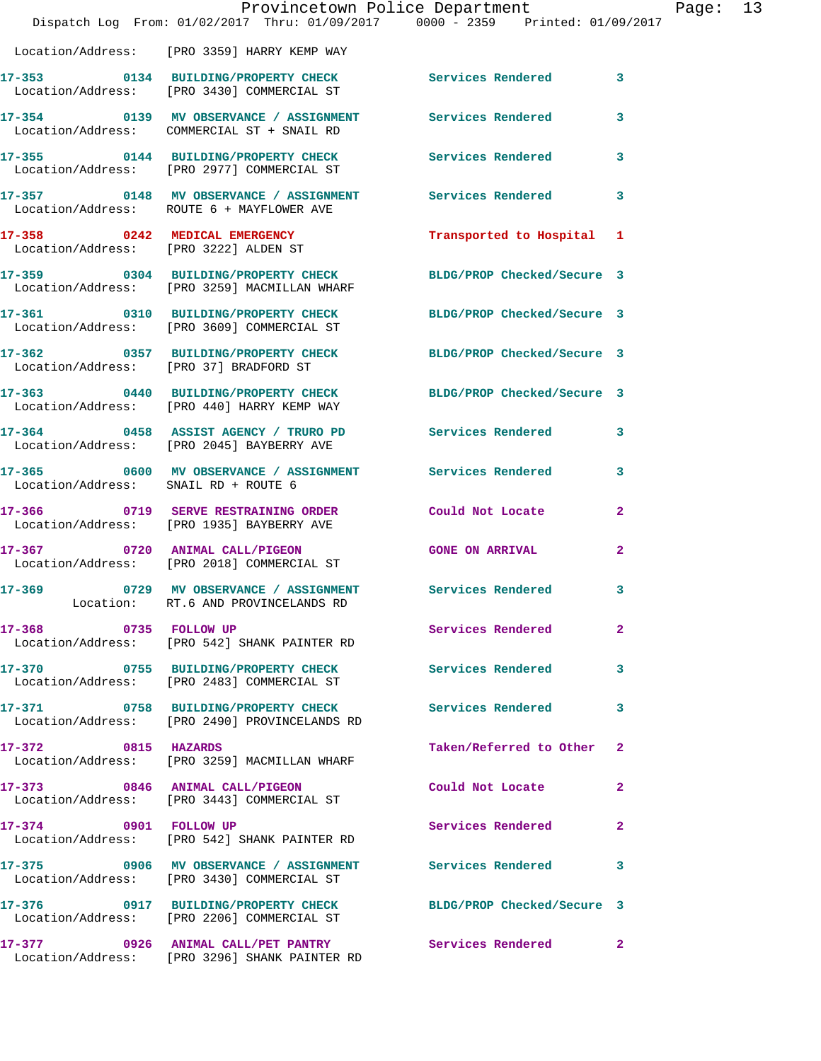|                                      | Dispatch Log From: 01/02/2017 Thru: 01/09/2017 0000 - 2359 Printed: 01/09/2017                                 | Provincetown Police Department | Page: 13     |  |
|--------------------------------------|----------------------------------------------------------------------------------------------------------------|--------------------------------|--------------|--|
|                                      | Location/Address: [PRO 3359] HARRY KEMP WAY                                                                    |                                |              |  |
|                                      | 17-353 0134 BUILDING/PROPERTY CHECK Services Rendered 3<br>Location/Address: [PRO 3430] COMMERCIAL ST          |                                |              |  |
|                                      | 17-354 0139 MV OBSERVANCE / ASSIGNMENT Services Rendered 3<br>Location/Address: COMMERCIAL ST + SNAIL RD       |                                |              |  |
|                                      | 17-355 0144 BUILDING/PROPERTY CHECK Services Rendered<br>Location/Address: [PRO 2977] COMMERCIAL ST            |                                | $\mathbf{3}$ |  |
|                                      | 17-357 0148 MV OBSERVANCE / ASSIGNMENT Services Rendered 3<br>Location/Address: ROUTE 6 + MAYFLOWER AVE        |                                |              |  |
|                                      | 17-358 0242 MEDICAL EMERGENCY Transported to Hospital 1<br>Location/Address: [PRO 3222] ALDEN ST               |                                |              |  |
|                                      | 17-359 0304 BUILDING/PROPERTY CHECK BLDG/PROP Checked/Secure 3<br>Location/Address: [PRO 3259] MACMILLAN WHARF |                                |              |  |
|                                      | 17-361 0310 BUILDING/PROPERTY CHECK BLDG/PROP Checked/Secure 3<br>Location/Address: [PRO 3609] COMMERCIAL ST   |                                |              |  |
|                                      | 17-362 0357 BUILDING/PROPERTY CHECK BLDG/PROP Checked/Secure 3<br>Location/Address: [PRO 37] BRADFORD ST       |                                |              |  |
|                                      | 17-363 0440 BUILDING/PROPERTY CHECK BLDG/PROP Checked/Secure 3<br>Location/Address: [PRO 440] HARRY KEMP WAY   |                                |              |  |
|                                      | 17-364 0458 ASSIST AGENCY / TRURO PD Services Rendered 3<br>Location/Address: [PRO 2045] BAYBERRY AVE          |                                |              |  |
| Location/Address: SNAIL RD + ROUTE 6 | 17-365 0600 MV OBSERVANCE / ASSIGNMENT Services Rendered 3                                                     |                                |              |  |
|                                      | 17-366 0719 SERVE RESTRAINING ORDER Could Not Locate<br>Location/Address: [PRO 1935] BAYBERRY AVE              |                                | $\mathbf{2}$ |  |
|                                      | 17-367 0720 ANIMAL CALL/PIGEON GONE ON ARRIVAL<br>Location/Address: [PRO 2018] COMMERCIAL ST                   |                                |              |  |
|                                      | 17-369 		 0729 MV OBSERVANCE / ASSIGNMENT Services Rendered 3<br>Location: RT.6 AND PROVINCELANDS RD           |                                |              |  |
|                                      | 17-368 0735 FOLLOW UP<br>Location/Address: [PRO 542] SHANK PAINTER RD                                          | Services Rendered              | $\mathbf{2}$ |  |
|                                      | 17-370 0755 BUILDING/PROPERTY CHECK Services Rendered<br>Location/Address: [PRO 2483] COMMERCIAL ST            |                                | 3            |  |
|                                      | 17-371 0758 BUILDING/PROPERTY CHECK Services Rendered<br>Location/Address: [PRO 2490] PROVINCELANDS RD         |                                | 3            |  |
| 17-372 0815 HAZARDS                  | Location/Address: [PRO 3259] MACMILLAN WHARF                                                                   | Taken/Referred to Other 2      |              |  |
|                                      | 17-373 0846 ANIMAL CALL/PIGEON<br>Location/Address: [PRO 3443] COMMERCIAL ST                                   | Could Not Locate               | $\mathbf{2}$ |  |
| 17-374 0901 FOLLOW UP                | Location/Address: [PRO 542] SHANK PAINTER RD                                                                   | Services Rendered              | 2            |  |
|                                      | 17-375 0906 MV OBSERVANCE / ASSIGNMENT Services Rendered<br>Location/Address: [PRO 3430] COMMERCIAL ST         |                                | 3            |  |
|                                      | 17-376 0917 BUILDING/PROPERTY CHECK BLDG/PROP Checked/Secure 3<br>Location/Address: [PRO 2206] COMMERCIAL ST   |                                |              |  |
|                                      | 17-377 0926 ANIMAL CALL/PET PANTRY Services Rendered 2<br>Location/Address: [PRO 3296] SHANK PAINTER RD        |                                |              |  |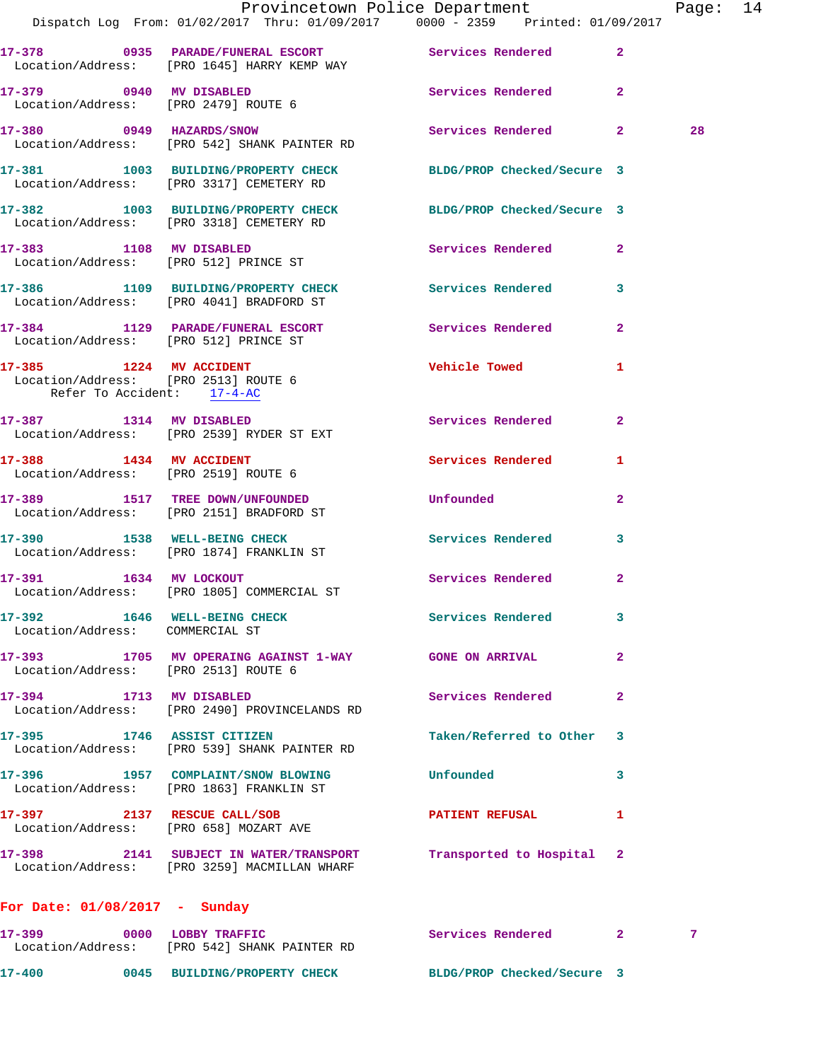|                                                                                               | Dispatch Log From: 01/02/2017 Thru: 01/09/2017 0000 - 2359 Printed: 01/09/2017                                   | Provincetown Police Department |              | Page: 14 |  |
|-----------------------------------------------------------------------------------------------|------------------------------------------------------------------------------------------------------------------|--------------------------------|--------------|----------|--|
|                                                                                               |                                                                                                                  |                                |              |          |  |
|                                                                                               | 17-378 0935 PARADE/FUNERAL ESCORT Services Rendered 2<br>Location/Address: [PRO 1645] HARRY KEMP WAY             |                                |              |          |  |
|                                                                                               | 17-379 0940 MV DISABLED<br>Location/Address: [PRO 2479] ROUTE 6                                                  | Services Rendered 2            |              |          |  |
|                                                                                               | 17-380 0949 HAZARDS/SNOW<br>Location/Address: [PRO 542] SHANK PAINTER RD                                         | Services Rendered 2            |              | 28       |  |
|                                                                                               | 17-381 1003 BUILDING/PROPERTY CHECK BLDG/PROP Checked/Secure 3<br>Location/Address: [PRO 3317] CEMETERY RD       |                                |              |          |  |
|                                                                                               | 17-382 1003 BUILDING/PROPERTY CHECK<br>Location/Address: [PRO 3318] CEMETERY RD                                  | BLDG/PROP Checked/Secure 3     |              |          |  |
|                                                                                               | 17-383 1108 MV DISABLED<br>Location/Address: [PRO 512] PRINCE ST                                                 | <b>Services Rendered</b>       | $\mathbf{2}$ |          |  |
|                                                                                               | 17-386 1109 BUILDING/PROPERTY CHECK Services Rendered 3<br>Location/Address: [PRO 4041] BRADFORD ST              |                                |              |          |  |
| Location/Address: [PRO 512] PRINCE ST                                                         | 17-384 1129 PARADE/FUNERAL ESCORT Services Rendered                                                              |                                | $\mathbf{2}$ |          |  |
| 17-385 1224 MV ACCIDENT<br>Location/Address: [PRO 2513] ROUTE 6<br>Refer To Accident: 17-4-AC |                                                                                                                  | Vehicle Towed 1                |              |          |  |
|                                                                                               | 17-387 1314 MV DISABLED<br>Location/Address: [PRO 2539] RYDER ST EXT                                             | Services Rendered              | 2            |          |  |
| Location/Address: [PRO 2519] ROUTE 6                                                          | 17-388 1434 MV ACCIDENT                                                                                          | Services Rendered              | 1            |          |  |
|                                                                                               | 17-389 1517 TREE DOWN/UNFOUNDED<br>Location/Address: [PRO 2151] BRADFORD ST                                      | Unfounded                      | $\mathbf{2}$ |          |  |
|                                                                                               | 17-390 1538 WELL-BEING CHECK<br>Location/Address: [PRO 1874] FRANKLIN ST                                         | Services Rendered              | 3            |          |  |
|                                                                                               | 17-391 1634 MV LOCKOUT<br>Location/Address: [PRO 1805] COMMERCIAL ST                                             | Services Rendered              | $\mathbf{2}$ |          |  |
| 17-392 1646 WELL-BEING CHECK<br>Location/Address: COMMERCIAL ST                               |                                                                                                                  | Services Rendered              | 3            |          |  |
| Location/Address: [PRO 2513] ROUTE 6                                                          | 17-393 1705 MV OPERAING AGAINST 1-WAY GONE ON ARRIVAL                                                            |                                | $\mathbf{2}$ |          |  |
| 17-394 1713 MV DISABLED                                                                       | Location/Address: [PRO 2490] PROVINCELANDS RD                                                                    | <b>Services Rendered</b>       | $\mathbf{2}$ |          |  |
|                                                                                               | 17-395 1746 ASSIST CITIZEN<br>Location/Address: [PRO 539] SHANK PAINTER RD                                       | Taken/Referred to Other        | 3            |          |  |
|                                                                                               | 17-396 1957 COMPLAINT/SNOW BLOWING Unfounded<br>Location/Address: [PRO 1863] FRANKLIN ST                         |                                | 3            |          |  |
|                                                                                               | 17-397 2137 RESCUE CALL/SOB<br>Location/Address: [PRO 658] MOZART AVE                                            | PATIENT REFUSAL                | 1            |          |  |
|                                                                                               | 17-398 2141 SUBJECT IN WATER/TRANSPORT Transported to Hospital 2<br>Location/Address: [PRO 3259] MACMILLAN WHARF |                                |              |          |  |
| For Date: $01/08/2017$ - Sunday                                                               |                                                                                                                  |                                |              |          |  |
| 17-399                                                                                        | 0000 LOBBY TRAFFIC<br>Location/Address: [PRO 542] SHANK PAINTER RD                                               | Services Rendered 2            |              | 7        |  |
|                                                                                               | 17-400 0045 BUILDING/PROPERTY CHECK BLDG/PROP Checked/Secure 3                                                   |                                |              |          |  |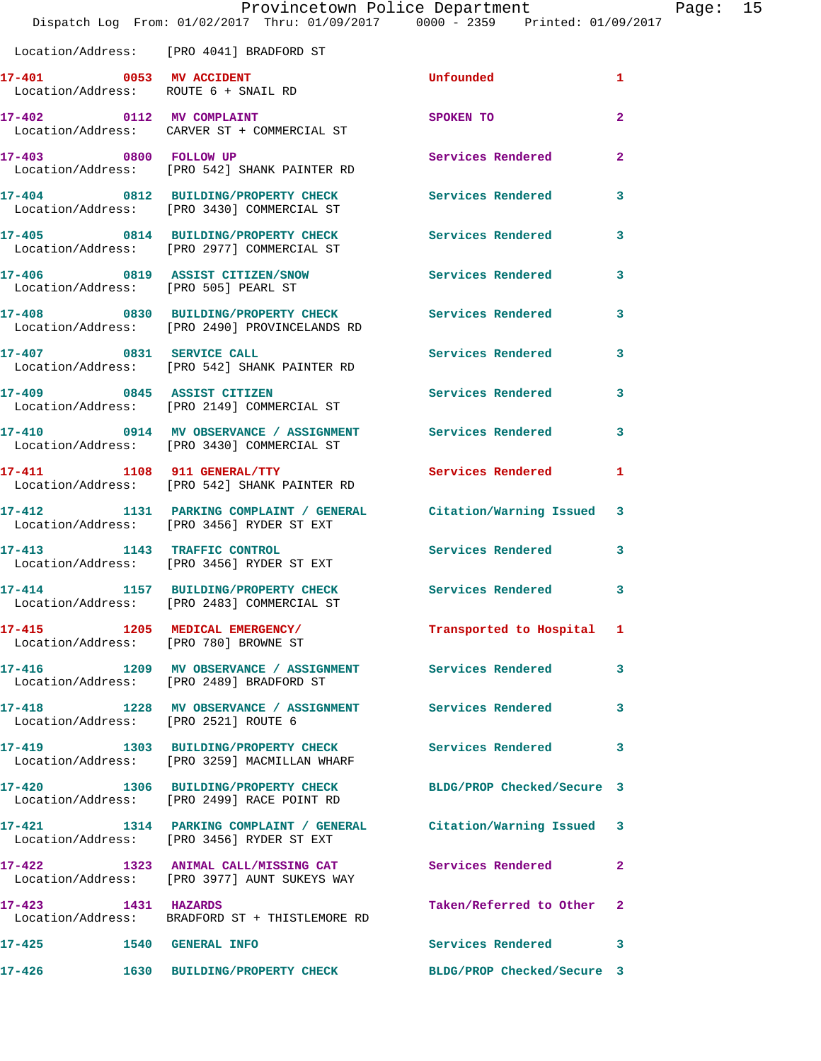| Location/Address: |  | [PRO 4041] BRADFORD ST |  |
|-------------------|--|------------------------|--|
|                   |  |                        |  |

|                                                                 | LOCALION/AQQIESS. [PRO 4041] BRADFORD SI                                                                       |                            |                            |
|-----------------------------------------------------------------|----------------------------------------------------------------------------------------------------------------|----------------------------|----------------------------|
| 17-401 0053 MV ACCIDENT<br>Location/Address: ROUTE 6 + SNAIL RD |                                                                                                                | Unfounded                  | $\mathbf{1}$               |
|                                                                 | 17-402 0112 MV COMPLAINT<br>Location/Address: CARVER ST + COMMERCIAL ST                                        | SPOKEN TO                  | $\overline{2}$             |
| 17-403 0800 FOLLOW UP                                           | Location/Address: [PRO 542] SHANK PAINTER RD                                                                   | Services Rendered          | $\mathbf{2}$               |
|                                                                 | 17-404 0812 BUILDING/PROPERTY CHECK<br>Location/Address: [PRO 3430] COMMERCIAL ST                              | <b>Services Rendered</b>   | 3                          |
|                                                                 | 17-405 0814 BUILDING/PROPERTY CHECK<br>Location/Address: [PRO 2977] COMMERCIAL ST                              | <b>Services Rendered</b>   | 3                          |
|                                                                 | 17-406 0819 ASSIST CITIZEN/SNOW<br>Location/Address: [PRO 505] PEARL ST                                        | <b>Services Rendered</b>   | 3                          |
|                                                                 | 17-408 0830 BUILDING/PROPERTY CHECK<br>Location/Address: [PRO 2490] PROVINCELANDS RD                           | <b>Services Rendered</b>   | 3                          |
| 17-407 0831 SERVICE CALL                                        | Location/Address: [PRO 542] SHANK PAINTER RD                                                                   | <b>Services Rendered</b>   | 3                          |
|                                                                 | 17-409 0845 ASSIST CITIZEN<br>Location/Address: [PRO 2149] COMMERCIAL ST                                       | <b>Services Rendered</b>   | 3                          |
|                                                                 | 17-410 0914 MV OBSERVANCE / ASSIGNMENT Services Rendered 3<br>Location/Address: [PRO 3430] COMMERCIAL ST       |                            |                            |
|                                                                 | 17-411 1108 911 GENERAL/TTY<br>Location/Address: [PRO 542] SHANK PAINTER RD                                    | <b>Services Rendered</b>   | 1                          |
|                                                                 | 17-412 1131 PARKING COMPLAINT / GENERAL Citation/Warning Issued 3<br>Location/Address: [PRO 3456] RYDER ST EXT |                            |                            |
|                                                                 | 17-413 1143 TRAFFIC CONTROL<br>Location/Address: [PRO 3456] RYDER ST EXT                                       | Services Rendered          | $\mathbf{3}$               |
|                                                                 | 17-414 1157 BUILDING/PROPERTY CHECK<br>Location/Address: [PRO 2483] COMMERCIAL ST                              | Services Rendered          | $\overline{\phantom{a}}$ 3 |
| Location/Address: [PRO 780] BROWNE ST                           | 17-415 1205 MEDICAL EMERGENCY/                                                                                 | Transported to Hospital 1  |                            |
|                                                                 | 17-416 1209 MV OBSERVANCE / ASSIGNMENT Services Rendered<br>Location/Address: [PRO 2489] BRADFORD ST           |                            | 3                          |
| Location/Address: [PRO 2521] ROUTE 6                            | 17-418 1228 MV OBSERVANCE / ASSIGNMENT Services Rendered                                                       |                            | 3                          |
| 17-419                                                          | 1303 BUILDING/PROPERTY CHECK<br>Location/Address: [PRO 3259] MACMILLAN WHARF                                   | <b>Services Rendered</b>   | 3                          |
|                                                                 | 17-420 1306 BUILDING/PROPERTY CHECK<br>Location/Address: [PRO 2499] RACE POINT RD                              | BLDG/PROP Checked/Secure 3 |                            |
| 17-421                                                          | 1314 PARKING COMPLAINT / GENERAL Citation/Warning Issued 3<br>Location/Address: [PRO 3456] RYDER ST EXT        |                            |                            |
|                                                                 | 17-422 1323 ANIMAL CALL/MISSING CAT<br>Location/Address: [PRO 3977] AUNT SUKEYS WAY                            | <b>Services Rendered</b>   | $\mathbf{2}$               |
| 17-423 1431 HAZARDS                                             | Location/Address: BRADFORD ST + THISTLEMORE RD                                                                 | Taken/Referred to Other 2  |                            |
| 17-425<br><b>1540 GENERAL INFO</b>                              |                                                                                                                | <b>Services Rendered</b>   | $\mathbf{3}$               |
| 17-426                                                          | 1630 BUILDING/PROPERTY CHECK                                                                                   | BLDG/PROP Checked/Secure 3 |                            |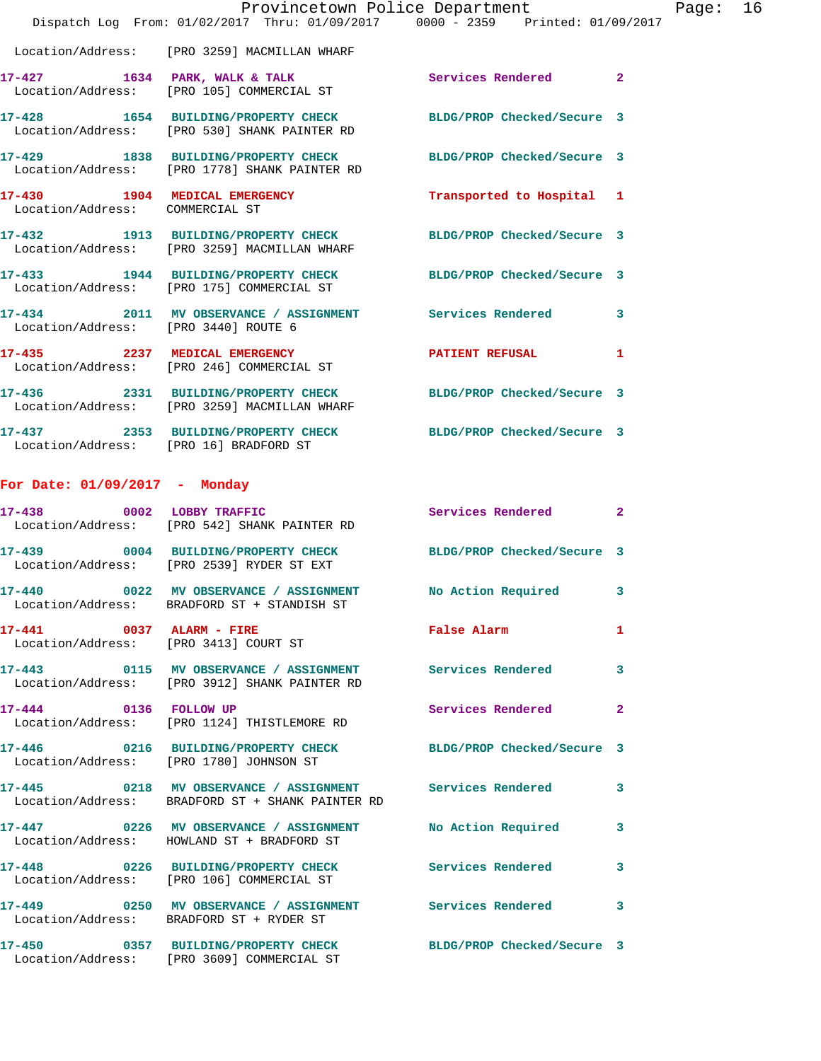|                                        | Dispatch Log From: 01/02/2017 Thru: 01/09/2017 0000 - 2359 Printed: 01/09/2017                                  | Provincetown Police Department |              | Page: 16 |  |
|----------------------------------------|-----------------------------------------------------------------------------------------------------------------|--------------------------------|--------------|----------|--|
|                                        | Location/Address: [PRO 3259] MACMILLAN WHARF                                                                    |                                |              |          |  |
|                                        | 17-427 1634 PARK, WALK & TALK 1999 Services Rendered 2<br>Location/Address: [PRO 105] COMMERCIAL ST             |                                |              |          |  |
|                                        | 17-428 1654 BUILDING/PROPERTY CHECK BLDG/PROP Checked/Secure 3<br>Location/Address: [PRO 530] SHANK PAINTER RD  |                                |              |          |  |
|                                        | 17-429 1838 BUILDING/PROPERTY CHECK BLDG/PROP Checked/Secure 3<br>Location/Address: [PRO 1778] SHANK PAINTER RD |                                |              |          |  |
| Location/Address: COMMERCIAL ST        | 17-430 1904 MEDICAL EMERGENCY                                                                                   | Transported to Hospital 1      |              |          |  |
|                                        | 17-432 1913 BUILDING/PROPERTY CHECK BLDG/PROP Checked/Secure 3<br>Location/Address: [PRO 3259] MACMILLAN WHARF  |                                |              |          |  |
|                                        | 17-433 1944 BUILDING/PROPERTY CHECK BLDG/PROP Checked/Secure 3<br>Location/Address: [PRO 175] COMMERCIAL ST     |                                |              |          |  |
|                                        | 17-434 2011 MV OBSERVANCE / ASSIGNMENT Services Rendered 3<br>Location/Address: [PRO 3440] ROUTE 6              |                                |              |          |  |
|                                        | 17-435 2237 MEDICAL EMERGENCY<br>Location/Address: [PRO 246] COMMERCIAL ST                                      | PATIENT REFUSAL                | 1            |          |  |
|                                        | 17-436 2331 BUILDING/PROPERTY CHECK BLDG/PROP Checked/Secure 3<br>Location/Address: [PRO 3259] MACMILLAN WHARF  |                                |              |          |  |
| Location/Address: [PRO 16] BRADFORD ST | 17-437 2353 BUILDING/PROPERTY CHECK BLDG/PROP Checked/Secure 3                                                  |                                |              |          |  |
| For Date: $01/09/2017$ - Monday        |                                                                                                                 |                                |              |          |  |
|                                        | 17-438 0002 LOBBY TRAFFIC<br>Location/Address: [PRO 542] SHANK PAINTER RD                                       | Services Rendered              | $\mathbf{2}$ |          |  |
|                                        | 17-439 0004 BUILDING/PROPERTY CHECK BLDG/PROP Checked/Secure 3<br>Location/Address: [PRO 2539] RYDER ST EXT     |                                |              |          |  |
|                                        | Location/Address: BRADFORD ST + STANDISH ST                                                                     |                                |              |          |  |
|                                        | 17-441 0037 ALARM - FIRE<br>Location/Address: [PRO 3413] COURT ST                                               | <b>False Alarm</b>             | 1            |          |  |
|                                        | 17-443 0115 MV OBSERVANCE / ASSIGNMENT Services Rendered 3<br>Location/Address: [PRO 3912] SHANK PAINTER RD     |                                |              |          |  |
|                                        | 17-444 0136 FOLLOW UP<br>Location/Address: [PRO 1124] THISTLEMORE RD                                            | Services Rendered              | $\mathbf{2}$ |          |  |
|                                        | 17-446 0216 BUILDING/PROPERTY CHECK BLDG/PROP Checked/Secure 3<br>Location/Address: [PRO 1780] JOHNSON ST       |                                |              |          |  |
|                                        | 17-445 0218 MV OBSERVANCE / ASSIGNMENT Services Rendered 3<br>Location/Address: BRADFORD ST + SHANK PAINTER RD  |                                |              |          |  |
|                                        | 17-447 0226 MV OBSERVANCE / ASSIGNMENT No Action Required<br>Location/Address: HOWLAND ST + BRADFORD ST         |                                | 3            |          |  |
|                                        | 17-448 0226 BUILDING/PROPERTY CHECK Services Rendered 3<br>Location/Address: [PRO 106] COMMERCIAL ST            |                                |              |          |  |
|                                        | 17-449 6250 MV OBSERVANCE / ASSIGNMENT Services Rendered<br>Location/Address: BRADFORD ST + RYDER ST            |                                | 3            |          |  |
|                                        | 17-450 0357 BUILDING/PROPERTY CHECK BLDG/PROP Checked/Secure 3<br>Location/Address: [PRO 3609] COMMERCIAL ST    |                                |              |          |  |